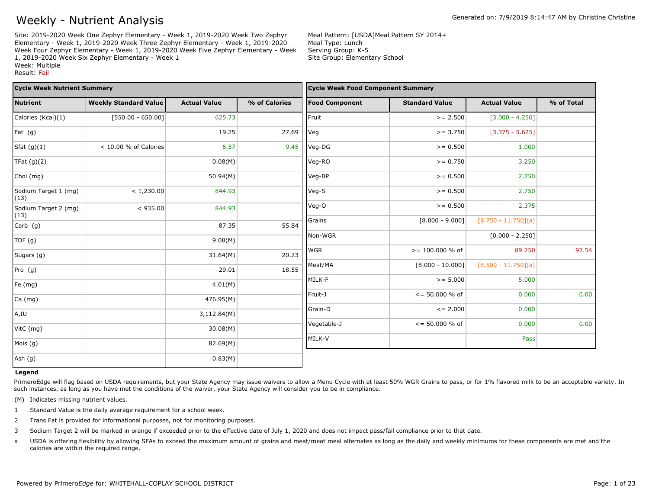Site: 2019-2020 Week One Zephyr Elementary - Week 1, 2019-2020 Week Two Zephyr Elementary - Week 1, 2019-2020 Week Three Zephyr Elementary - Week 1, 2019-2020 Week Four Zephyr Elementary - Week 1, 2019-2020 Week Five Zephyr Elementary - Week 1, 2019-2020 Week Six Zephyr Elementary - Week 1 Week: Multiple Result: Fail

Meal Pattern: [USDA]Meal Pattern SY 2014+ Meal Type: Lunch Serving Group: K-5 Site Group: Elementary School

| <b>Cycle Week Nutrient Summary</b> |                              |                     |               | <b>Cycle Week Food Component Summary</b> |                          |                       |            |
|------------------------------------|------------------------------|---------------------|---------------|------------------------------------------|--------------------------|-----------------------|------------|
| <b>Nutrient</b>                    | <b>Weekly Standard Value</b> | <b>Actual Value</b> | % of Calories | <b>Food Component</b>                    | <b>Standard Value</b>    | <b>Actual Value</b>   | % of Total |
| Calories (Kcal)(1)                 | $[550.00 - 650.00]$          | 625.73              |               | Fruit                                    | $>= 2.500$               | $[3.000 - 4.250]$     |            |
| Fat (g)                            |                              | 19.25               | 27.69         | Veg                                      | $>= 3.750$               | $[3.375 - 5.625]$     |            |
| Sfat $(g)(1)$                      | < 10.00 % of Calories        | 6.57                | 9.45          | Veg-DG                                   | $>= 0.500$               | 1.000                 |            |
| TFat $(g)(2)$                      |                              | 0.08(M)             |               | Veg-RO                                   | $>= 0.750$               | 3.250                 |            |
| Chol (mg)                          |                              | 50.94(M)            |               | Veg-BP                                   | $>= 0.500$               | 2.750                 |            |
| Sodium Target 1 (mg)<br>(13)       | < 1,230.00                   | 844.93              |               | Veg-S                                    | $>= 0.500$               | 2.750                 |            |
| Sodium Target 2 (mg)<br>(13)       | < 935.00                     | 844.93              |               | Veg-O                                    | $>= 0.500$               | 2.375                 |            |
| $Carb$ (g)                         |                              | 87.35               | 55.84         | Grains                                   | $[8.000 - 9.000]$        | $[8.750 - 11.750](a)$ |            |
| TDF (g)                            |                              | 9.08(M)             |               | Non-WGR                                  |                          | $[0.000 - 2.250]$     |            |
| Sugars (g)                         |                              | 31.64(M)            | 20.23         | <b>WGR</b>                               | $>= 100.000 %$ of        | 89.250                | 97.54      |
| Pro $(g)$                          |                              | 29.01               | 18.55         | Meat/MA                                  | $[8.000 - 10.000]$       | $[8.500 - 11.750](a)$ |            |
| Fe (mg)                            |                              | 4.01(M)             |               | MILK-F                                   | $>= 5.000$               | 5.000                 |            |
| Ca (mg)                            |                              | 476.95(M)           |               | Fruit-J                                  | $\le$ = 50.000 % of      | 0.000                 | 0.00       |
|                                    |                              |                     |               | Grain-D                                  | $\leq$ 2.000             | 0.000                 |            |
| A,IU                               |                              | 3,112.84(M)         |               | Vegetable-J                              | $\epsilon$ = 50.000 % of | 0.000                 | 0.00       |
| VitC (mg)                          |                              | 30.08(M)            |               |                                          |                          |                       |            |
| Mois (g)                           |                              | 82.69(M)            |               | MILK-V                                   |                          | Pass                  |            |
| Ash (g)                            |                              | 0.83(M)             |               |                                          |                          |                       |            |

#### **Legend**

PrimeroEdge will flag based on USDA requirements, but your State Agency may issue waivers to allow a Menu Cycle with at least 50% WGR Grains to pass, or for 1% flavored milk to be an acceptable variety. In such instances, as long as you have met the conditions of the waiver, your State Agency will consider you to be in compliance.

(M) Indicates missing nutrient values.

- 1 Standard Value is the daily average requirement for a school week.
- 2 Trans Fat is provided for informational purposes, not for monitoring purposes.
- 3 Sodium Target 2 will be marked in orange if exceeded prior to the effective date of July 1, 2020 and does not impact pass/fail compliance prior to that date.
- a USDA is offering flexibility by allowing SFAs to exceed the maximum amount of grains and meat/meat meal alternates as long as the daily and weekly minimums for these components are met and the calories are within the required range.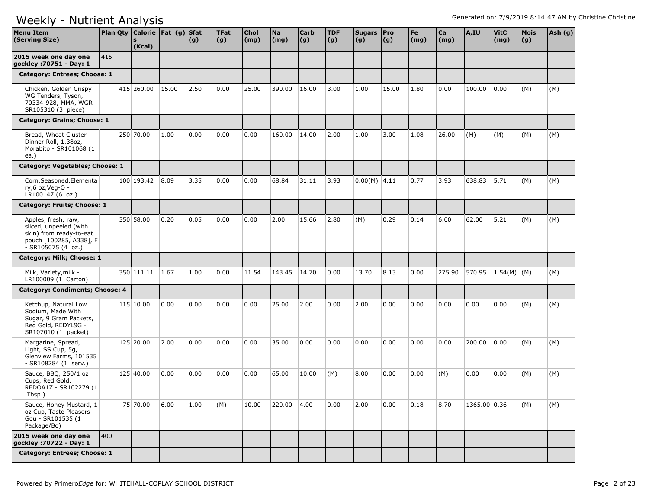| <b>Menu Item</b><br>(Serving Size)                                                                                        | Plan Qty Calorie Fat (g) Sfat | <b>S</b><br>(Kcal) |       | (g)  | <b>TFat</b><br>(g) | <b>Chol</b><br>(mg) | Na<br>(mg) | <b>Carb</b><br>(g) | <b>TDF</b><br>(g) | Sugars   Pro<br>(g) | (g)   | Fe<br>(mg) | Ca<br>(mg) | A,IU         | <b>VitC</b><br>(mg) | <b>Mois</b><br>(g) | Ash (g) |
|---------------------------------------------------------------------------------------------------------------------------|-------------------------------|--------------------|-------|------|--------------------|---------------------|------------|--------------------|-------------------|---------------------|-------|------------|------------|--------------|---------------------|--------------------|---------|
| 2015 week one day one<br>gockley : 70751 - Day: 1                                                                         | 415                           |                    |       |      |                    |                     |            |                    |                   |                     |       |            |            |              |                     |                    |         |
| Category: Entrees; Choose: 1                                                                                              |                               |                    |       |      |                    |                     |            |                    |                   |                     |       |            |            |              |                     |                    |         |
| Chicken, Golden Crispy<br>WG Tenders, Tyson,<br>70334-928, MMA, WGR -<br>SR105310 (3 piece)                               |                               | 415 260.00         | 15.00 | 2.50 | 0.00               | 25.00               | 390.00     | 16.00              | 3.00              | 1.00                | 15.00 | 1.80       | 0.00       | 100.00       | 0.00                | (M)                | (M)     |
| Category: Grains; Choose: 1                                                                                               |                               |                    |       |      |                    |                     |            |                    |                   |                     |       |            |            |              |                     |                    |         |
| Bread, Wheat Cluster<br>Dinner Roll, 1.38oz,<br>Morabito - SR101068 (1<br>ea.)                                            |                               | 250 70.00          | 1.00  | 0.00 | 0.00               | 0.00                | 160.00     | 14.00              | 2.00              | 1.00                | 3.00  | 1.08       | 26.00      | (M)          | (M)                 | (M)                | (M)     |
| Category: Vegetables; Choose: 1                                                                                           |                               |                    |       |      |                    |                     |            |                    |                   |                     |       |            |            |              |                     |                    |         |
| Corn, Seasoned, Elementa<br>ry,6 oz, Veg-O -<br>LR100147 (6 oz.)                                                          |                               | 100 193.42         | 8.09  | 3.35 | 0.00               | 0.00                | 68.84      | 31.11              | 3.93              | $0.00(M)$ 4.11      |       | 0.77       | 3.93       | 638.83       | 5.71                | (M)                | (M)     |
| Category: Fruits; Choose: 1                                                                                               |                               |                    |       |      |                    |                     |            |                    |                   |                     |       |            |            |              |                     |                    |         |
| Apples, fresh, raw,<br>sliced, unpeeled (with<br>skin) from ready-to-eat<br>pouch [100285, A338], F<br>$-SR105075(4 oz.)$ |                               | 350 58.00          | 0.20  | 0.05 | 0.00               | 0.00                | 2.00       | 15.66              | 2.80              | (M)                 | 0.29  | 0.14       | 6.00       | 62.00        | 5.21                | (M)                | (M)     |
| Category: Milk; Choose: 1                                                                                                 |                               |                    |       |      |                    |                     |            |                    |                   |                     |       |            |            |              |                     |                    |         |
| Milk, Variety, milk -<br>LR100009 (1 Carton)                                                                              |                               | 350 111.11 1.67    |       | 1.00 | 0.00               | 11.54               | 143.45     | 14.70              | 0.00              | 13.70               | 8.13  | 0.00       | 275.90     | 570.95       | $1.54(M)$ (M)       |                    | (M)     |
| Category: Condiments; Choose: 4                                                                                           |                               |                    |       |      |                    |                     |            |                    |                   |                     |       |            |            |              |                     |                    |         |
| Ketchup, Natural Low<br>Sodium, Made With<br>Sugar, 9 Gram Packets,<br>Red Gold, REDYL9G -<br>SR107010 (1 packet)         |                               | 115 10.00          | 0.00  | 0.00 | 0.00               | 0.00                | 25.00      | 2.00               | 0.00              | 2.00                | 0.00  | 0.00       | 0.00       | 0.00         | 0.00                | (M)                | (M)     |
| Margarine, Spread,<br>Light, SS Cup, 5g,<br>Glenview Farms, 101535<br>- SR108284 (1 serv.)                                |                               | 125 20.00          | 2.00  | 0.00 | 0.00               | 0.00                | 35.00      | 0.00               | 0.00              | 0.00                | 0.00  | 0.00       | 0.00       | 200.00       | 0.00                | (M)                | (M)     |
| Sauce, BBQ, 250/1 oz<br>Cups, Red Gold,<br>REDOA1Z - SR102279 (1)<br>Tbsp.)                                               |                               | 125 40.00          | 0.00  | 0.00 | 0.00               | 0.00                | 65.00      | 10.00              | (M)               | 8.00                | 0.00  | 0.00       | (M)        | 0.00         | 0.00                | (M)                | (M)     |
| Sauce, Honey Mustard, 1<br>oz Cup, Taste Pleasers<br>Gou - SR101535 (1<br>Package/Bo)                                     |                               | 75 70.00           | 6.00  | 1.00 | (M)                | 10.00               | 220.00     | 4.00               | 0.00              | 2.00                | 0.00  | 0.18       | 8.70       | 1365.00 0.36 |                     | (M)                | (M)     |
| 2015 week one day one<br>gockley : 70722 - Day: 1                                                                         | 400                           |                    |       |      |                    |                     |            |                    |                   |                     |       |            |            |              |                     |                    |         |
| Category: Entrees; Choose: 1                                                                                              |                               |                    |       |      |                    |                     |            |                    |                   |                     |       |            |            |              |                     |                    |         |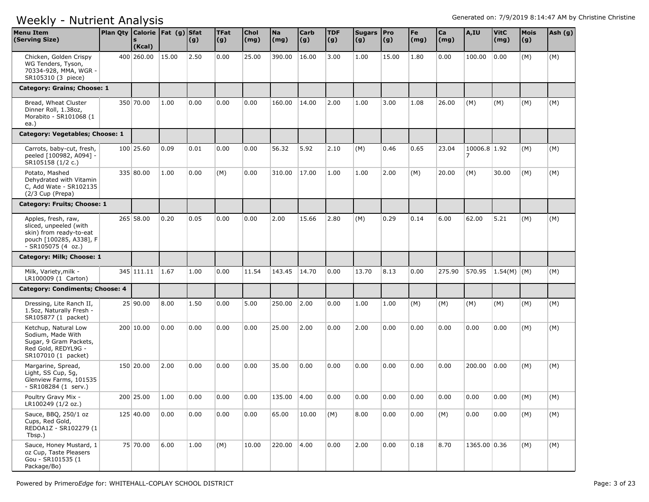| <b>Menu Item</b><br>(Serving Size)                                                                                        | Plan Qty   Calorie   Fat (g)   Sfat | (Kcal)      |       | (g)  | <b>TFat</b><br> (g) | Chol<br>(mg) | <b>Na</b><br>(mg) | <b>Carb</b><br> (g) | <b>TDF</b><br>(g) | Sugars Pro<br>(g) | (g)   | Fe<br>$\mathsf{(mg)}$ | Ca<br>(mg) | A,IU                           | <b>VitC</b><br>(mg) | <b>Mois</b><br>(g) | Ash (g) |
|---------------------------------------------------------------------------------------------------------------------------|-------------------------------------|-------------|-------|------|---------------------|--------------|-------------------|---------------------|-------------------|-------------------|-------|-----------------------|------------|--------------------------------|---------------------|--------------------|---------|
| Chicken, Golden Crispy<br>WG Tenders, Tyson,<br>70334-928, MMA, WGR -<br>SR105310 (3 piece)                               |                                     | 400 260,00  | 15.00 | 2.50 | 0.00                | 25.00        | 390.00            | 16.00               | 3.00              | 1.00              | 15.00 | 1.80                  | 0.00       | 100.00                         | 0.00                | (M)                | (M)     |
| Category: Grains; Choose: 1                                                                                               |                                     |             |       |      |                     |              |                   |                     |                   |                   |       |                       |            |                                |                     |                    |         |
| Bread, Wheat Cluster<br>Dinner Roll, 1.38oz,<br>Morabito - SR101068 (1<br>ea.)                                            |                                     | 350 70.00   | 1.00  | 0.00 | 0.00                | 0.00         | 160.00            | 14.00               | 2.00              | 1.00              | 3.00  | 1.08                  | 26.00      | (M)                            | (M)                 | (M)                | (M)     |
| Category: Vegetables; Choose: 1                                                                                           |                                     |             |       |      |                     |              |                   |                     |                   |                   |       |                       |            |                                |                     |                    |         |
| Carrots, baby-cut, fresh,<br>peeled [100982, A094] -<br>SR105158 (1/2 c.)                                                 |                                     | 100 25.60   | 0.09  | 0.01 | 0.00                | 0.00         | 56.32             | 5.92                | 2.10              | (M)               | 0.46  | 0.65                  | 23.04      | 10006.8 1.92<br>$\overline{7}$ |                     | (M)                | (M)     |
| Potato, Mashed<br>Dehydrated with Vitamin<br>C, Add Wate - SR102135<br>(2/3 Cup (Prepa)                                   |                                     | 335 80.00   | 1.00  | 0.00 | (M)                 | 0.00         | 310.00            | 17.00               | 1.00              | 1.00              | 2.00  | (M)                   | 20.00      | (M)                            | 30.00               | (M)                | (M)     |
| Category: Fruits; Choose: 1                                                                                               |                                     |             |       |      |                     |              |                   |                     |                   |                   |       |                       |            |                                |                     |                    |         |
| Apples, fresh, raw,<br>sliced, unpeeled (with<br>skin) from ready-to-eat<br>pouch [100285, A338], F<br>$-SR105075(4 oz.)$ |                                     | $265$ 58.00 | 0.20  | 0.05 | 0.00                | 0.00         | 2.00              | 15.66               | 2.80              | (M)               | 0.29  | 0.14                  | 6.00       | 62.00                          | 5.21                | (M)                | (M)     |
| Category: Milk; Choose: 1                                                                                                 |                                     |             |       |      |                     |              |                   |                     |                   |                   |       |                       |            |                                |                     |                    |         |
| Milk, Variety, milk -<br>LR100009 (1 Carton)                                                                              |                                     | 345 111.11  | 1.67  | 1.00 | 0.00                | 11.54        | 143.45            | 14.70               | 0.00              | 13.70             | 8.13  | 0.00                  | 275.90     | 570.95                         | $1.54(M)$ (M)       |                    | (M)     |
| Category: Condiments; Choose: 4                                                                                           |                                     |             |       |      |                     |              |                   |                     |                   |                   |       |                       |            |                                |                     |                    |         |
| Dressing, Lite Ranch II,<br>1.5oz, Naturally Fresh -<br>SR105877 (1 packet)                                               |                                     | 25 90.00    | 8.00  | 1.50 | 0.00                | 5.00         | 250.00            | 2.00                | 0.00              | 1.00              | 1.00  | (M)                   | (M)        | (M)                            | (M)                 | (M)                | (M)     |
| Ketchup, Natural Low<br>Sodium, Made With<br>Sugar, 9 Gram Packets,<br>Red Gold, REDYL9G -<br>SR107010 (1 packet)         |                                     | 200 10.00   | 0.00  | 0.00 | 0.00                | 0.00         | 25.00             | 2.00                | 0.00              | 2.00              | 0.00  | 0.00                  | 0.00       | 0.00                           | 0.00                | (M)                | (M)     |
| Margarine, Spread,<br>Light, SS Cup, 5g,<br>Glenview Farms, 101535<br>- SR108284 (1 serv.)                                |                                     | 150 20.00   | 2.00  | 0.00 | 0.00                | 0.00         | 35.00             | 0.00                | 0.00              | 0.00              | 0.00  | 0.00                  | 0.00       | 200.00                         | 0.00                | (M)                | (M)     |
| Poultry Gravy Mix -<br>LR100249 (1/2 oz.)                                                                                 |                                     | 200 25.00   | 1.00  | 0.00 | 0.00                | 0.00         | 135.00 4.00       |                     | 0.00              | 0.00              | 0.00  | 0.00                  | 0.00       | 0.00                           | 0.00                | (M)                | (M)     |
| Sauce, BBQ, 250/1 oz<br>Cups, Red Gold,<br>REDOA1Z - SR102279 (1<br>Tbsp.)                                                |                                     | 125 40.00   | 0.00  | 0.00 | 0.00                | 0.00         | 65.00             | 10.00               | (M)               | 8.00              | 0.00  | 0.00                  | (M)        | 0.00                           | 0.00                | (M)                | (M)     |
| Sauce, Honey Mustard, 1<br>oz Cup, Taste Pleasers<br>Gou - SR101535 (1<br>Package/Bo)                                     |                                     | 75 70.00    | 6.00  | 1.00 | (M)                 | 10.00        | 220.00            | 4.00                | 0.00              | 2.00              | 0.00  | 0.18                  | 8.70       | 1365.00 0.36                   |                     | (M)                | (M)     |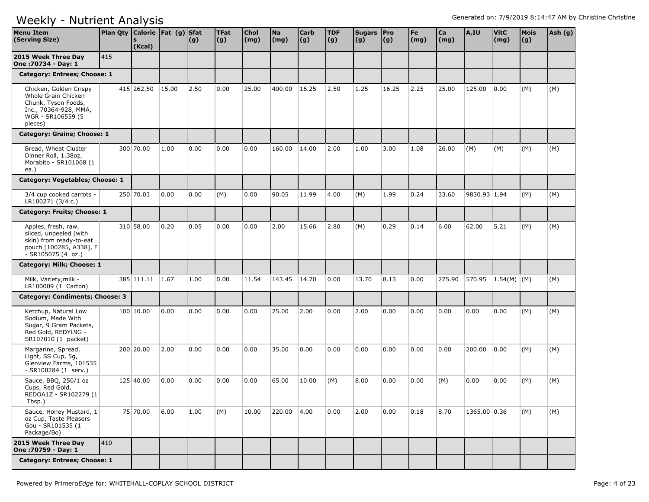| <b>Menu Item</b><br>(Serving Size)                                                                                            | Plan Qty Calorie Fat (g) Sfat | (Kcal)          |       | (g)  | <b>TFat</b><br>(g) | <b>Chol</b><br>(mg) | Na<br>(mg)  | Carb<br>(g) | <b>TDF</b><br>(g) | Sugars Pro<br>(g) | (g)   | Fe<br>$\mathsf{(mg)}$ | Ca<br>(mg) | A,IU         | <b>VitC</b><br>(mg) | Mois<br>(g) | Ash (g) |
|-------------------------------------------------------------------------------------------------------------------------------|-------------------------------|-----------------|-------|------|--------------------|---------------------|-------------|-------------|-------------------|-------------------|-------|-----------------------|------------|--------------|---------------------|-------------|---------|
| 2015 Week Three Day<br>One: 70734 - Day: 1                                                                                    | 415                           |                 |       |      |                    |                     |             |             |                   |                   |       |                       |            |              |                     |             |         |
| Category: Entrees; Choose: 1                                                                                                  |                               |                 |       |      |                    |                     |             |             |                   |                   |       |                       |            |              |                     |             |         |
| Chicken, Golden Crispy<br>Whole Grain Chicken<br>Chunk, Tyson Foods,<br>Inc., 70364-928, MMA,<br>WGR - SR106559 (5<br>pieces) |                               | 415 262.50      | 15.00 | 2.50 | 0.00               | 25.00               | 400.00      | 16.25       | 2.50              | 1.25              | 16.25 | 2.25                  | 25.00      | 125.00       | 0.00                | (M)         | (M)     |
| Category: Grains; Choose: 1                                                                                                   |                               |                 |       |      |                    |                     |             |             |                   |                   |       |                       |            |              |                     |             |         |
| Bread, Wheat Cluster<br>Dinner Roll, 1.38oz,<br>Morabito - SR101068 (1<br>ea.)                                                |                               | 300 70.00       | 1.00  | 0.00 | 0.00               | 0.00                | 160.00      | 14.00       | 2.00              | 1.00              | 3.00  | 1.08                  | 26.00      | (M)          | (M)                 | (M)         | (M)     |
| Category: Vegetables; Choose: 1                                                                                               |                               |                 |       |      |                    |                     |             |             |                   |                   |       |                       |            |              |                     |             |         |
| 3/4 cup cooked carrots -<br>LR100271 (3/4 c.)                                                                                 |                               | 250 70.03       | 0.00  | 0.00 | (M)                | 0.00                | 90.05       | 11.99       | 4.00              | (M)               | 1.99  | 0.24                  | 33.60      | 9830.93 1.94 |                     | (M)         | (M)     |
| Category: Fruits; Choose: 1                                                                                                   |                               |                 |       |      |                    |                     |             |             |                   |                   |       |                       |            |              |                     |             |         |
| Apples, fresh, raw,<br>sliced, unpeeled (with<br>skin) from ready-to-eat<br>pouch [100285, A338], F<br>$-SR105075(4 oz.)$     |                               | 310 58.00       | 0.20  | 0.05 | 0.00               | 0.00                | 2.00        | 15.66       | 2.80              | (M)               | 0.29  | 0.14                  | 6.00       | 62.00        | 5.21                | (M)         | (M)     |
| Category: Milk; Choose: 1                                                                                                     |                               |                 |       |      |                    |                     |             |             |                   |                   |       |                       |            |              |                     |             |         |
| Milk, Variety, milk -<br>LR100009 (1 Carton)                                                                                  |                               | 385 111.11 1.67 |       | 1.00 | 0.00               | 11.54               | 143.45      | 14.70       | 0.00              | 13.70             | 8.13  | 0.00                  | 275.90     | 570.95       | 1.54(M)   (M)       |             | (M)     |
| <b>Category: Condiments; Choose: 3</b>                                                                                        |                               |                 |       |      |                    |                     |             |             |                   |                   |       |                       |            |              |                     |             |         |
| Ketchup, Natural Low<br>Sodium, Made With<br>Sugar, 9 Gram Packets,<br>Red Gold, REDYL9G -<br>SR107010 (1 packet)             |                               | 100 10.00       | 0.00  | 0.00 | 0.00               | 0.00                | 25.00       | 2.00        | 0.00              | 2.00              | 0.00  | 0.00                  | 0.00       | 0.00         | 0.00                | (M)         | (M)     |
| Margarine, Spread,<br>Light, SS Cup, 5g,<br>Glenview Farms, 101535<br>- SR108284 (1 serv.)                                    |                               | 200 20,00       | 2.00  | 0.00 | 0.00               | 0.00                | 35.00       | 0.00        | 0.00              | 0.00              | 0.00  | 0.00                  | 0.00       | 200.00       | 0.00                | (M)         | (M)     |
| Sauce, BBQ, 250/1 oz<br>Cups, Red Gold,<br>REDOA1Z - SR102279 (1<br>Tbsp.)                                                    |                               | 125 40.00       | 0.00  | 0.00 | 0.00               | 0.00                | 65.00       | 10.00       | (M)               | 8.00              | 0.00  | 0.00                  | (M)        | 0.00         | 0.00                | (M)         | (M)     |
| Sauce, Honey Mustard, 1<br>oz Cup, Taste Pleasers<br>Gou - SR101535 (1<br>Package/Bo)                                         |                               | 75 70.00        | 6.00  | 1.00 | (M)                | 10.00               | 220.00 4.00 |             | 0.00              | 2.00              | 0.00  | 0.18                  | 8.70       | 1365.00 0.36 |                     | (M)         | (M)     |
| 2015 Week Three Day<br>One: 70759 - Day: 1                                                                                    | 410                           |                 |       |      |                    |                     |             |             |                   |                   |       |                       |            |              |                     |             |         |
| Category: Entrees; Choose: 1                                                                                                  |                               |                 |       |      |                    |                     |             |             |                   |                   |       |                       |            |              |                     |             |         |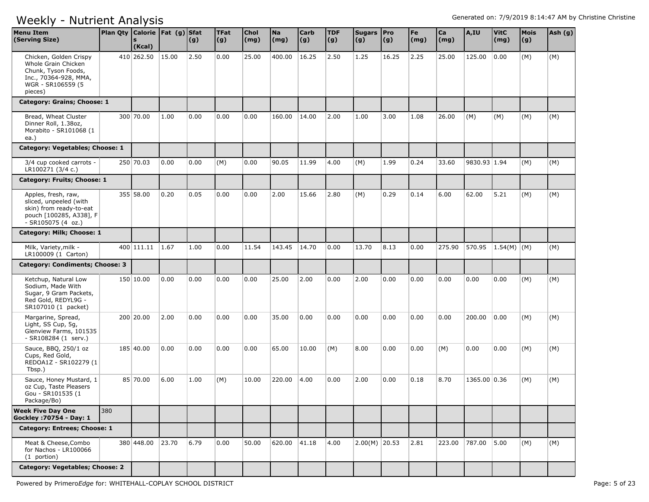| <b>Menu Item</b><br>(Serving Size)                                                                                             | Plan Qty   Calorie   Fat (g)   Sfat | (Kcal)     |       | (g)  | <b>TFat</b><br>(g) | Chol<br>(mg) | <b>Na</b><br>(mg) | <b>Carb</b><br>(g) | <b>TDF</b><br>(g) | Sugars   Pro<br>(g) | $\vert (g) \vert$ | Fe<br>$\mathsf{(mg)}$ | $ca$<br>(mg) | A,IU         | <b>VitC</b><br>(mg) | Mois<br>(g) | Ash (g) |
|--------------------------------------------------------------------------------------------------------------------------------|-------------------------------------|------------|-------|------|--------------------|--------------|-------------------|--------------------|-------------------|---------------------|-------------------|-----------------------|--------------|--------------|---------------------|-------------|---------|
| Chicken, Golden Crispy<br>Whole Grain Chicken<br>Chunk, Tyson Foods,<br>Inc., 70364-928, MMA,<br>WGR - SR106559 (5)<br>pieces) |                                     | 410 262.50 | 15.00 | 2.50 | 0.00               | 25.00        | 400.00            | 16.25              | 2.50              | 1.25                | 16.25             | 2.25                  | 25.00        | 125.00       | 0.00                | (M)         | (M)     |
| Category: Grains; Choose: 1                                                                                                    |                                     |            |       |      |                    |              |                   |                    |                   |                     |                   |                       |              |              |                     |             |         |
| Bread, Wheat Cluster<br>Dinner Roll, 1.38oz,<br>Morabito - SR101068 (1<br>ea.)                                                 |                                     | 300 70.00  | 1.00  | 0.00 | 0.00               | 0.00         | 160.00            | 14.00              | 2.00              | 1.00                | 3.00              | 1.08                  | 26.00        | (M)          | (M)                 | (M)         | (M)     |
| Category: Vegetables; Choose: 1                                                                                                |                                     |            |       |      |                    |              |                   |                    |                   |                     |                   |                       |              |              |                     |             |         |
| 3/4 cup cooked carrots -<br>LR100271 (3/4 c.)                                                                                  |                                     | 250 70.03  | 0.00  | 0.00 | (M)                | 0.00         | 90.05             | 11.99              | 4.00              | (M)                 | 1.99              | 0.24                  | 33.60        | 9830.93 1.94 |                     | (M)         | (M)     |
| Category: Fruits; Choose: 1                                                                                                    |                                     |            |       |      |                    |              |                   |                    |                   |                     |                   |                       |              |              |                     |             |         |
| Apples, fresh, raw,<br>sliced, unpeeled (with<br>skin) from ready-to-eat<br>pouch [100285, A338], F<br>$-SR105075(4 oz.)$      |                                     | 355 58.00  | 0.20  | 0.05 | 0.00               | 0.00         | 2.00              | 15.66              | 2.80              | (M)                 | 0.29              | 0.14                  | 6.00         | 62.00        | 5.21                | (M)         | (M)     |
| Category: Milk; Choose: 1                                                                                                      |                                     |            |       |      |                    |              |                   |                    |                   |                     |                   |                       |              |              |                     |             |         |
| Milk, Variety, milk -<br>LR100009 (1 Carton)                                                                                   |                                     | 400 111.11 | 1.67  | 1.00 | 0.00               | 11.54        | 143.45            | 14.70              | 0.00              | 13.70               | 8.13              | 0.00                  | 275.90       | 570.95       | 1.54(M) (M)         |             | (M)     |
| Category: Condiments; Choose: 3                                                                                                |                                     |            |       |      |                    |              |                   |                    |                   |                     |                   |                       |              |              |                     |             |         |
| Ketchup, Natural Low<br>Sodium, Made With<br>Sugar, 9 Gram Packets,<br>Red Gold, REDYL9G -<br>SR107010 (1 packet)              |                                     | 150 10.00  | 0.00  | 0.00 | 0.00               | 0.00         | 25.00             | 2.00               | 0.00              | 2.00                | 0.00              | 0.00                  | 0.00         | 0.00         | 0.00                | (M)         | (M)     |
| Margarine, Spread,<br>Light, SS Cup, 5g,<br>Glenview Farms, 101535<br>- SR108284 (1 serv.)                                     |                                     | 200 20.00  | 2.00  | 0.00 | 0.00               | 0.00         | 35.00             | 0.00               | 0.00              | 0.00                | 0.00              | 0.00                  | 0.00         | 200.00       | 0.00                | (M)         | (M)     |
| Sauce, BBQ, 250/1 oz<br>Cups, Red Gold,<br>REDOA1Z - SR102279 (1<br>Tbsp.)                                                     |                                     | 185 40.00  | 0.00  | 0.00 | 0.00               | 0.00         | 65.00             | 10.00              | (M)               | 8.00                | 0.00              | 0.00                  | (M)          | 0.00         | 0.00                | (M)         | (M)     |
| Sauce, Honey Mustard, 1<br>oz Cup, Taste Pleasers<br>Gou - SR101535 (1<br>Package/Bo)                                          |                                     | 85 70.00   | 6.00  | 1.00 | (M)                | 10.00        | 220.00            | 4.00               | 0.00              | 2.00                | 0.00              | 0.18                  | 8.70         | 1365.00 0.36 |                     | (M)         | (M)     |
| <b>Week Five Day One</b><br>Gockley : 70754 - Day: 1                                                                           | 380                                 |            |       |      |                    |              |                   |                    |                   |                     |                   |                       |              |              |                     |             |         |
| Category: Entrees; Choose: 1                                                                                                   |                                     |            |       |      |                    |              |                   |                    |                   |                     |                   |                       |              |              |                     |             |         |
| Meat & Cheese, Combo<br>for Nachos - LR100066<br>(1 portion)                                                                   |                                     | 380 448.00 | 23.70 | 6.79 | 0.00               | 50.00        | 620.00            | 41.18              | 4.00              | $2.00(M)$ 20.53     |                   | 2.81                  | 223.00       | 787.00 5.00  |                     | (M)         | (M)     |
| Category: Vegetables; Choose: 2                                                                                                |                                     |            |       |      |                    |              |                   |                    |                   |                     |                   |                       |              |              |                     |             |         |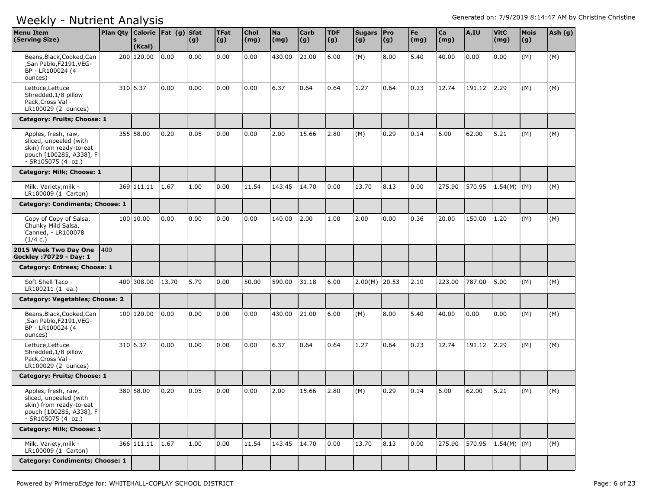| <b>Menu Item</b><br>(Serving Size)                                                                                        | Plan Qty   Calorie   Fat (g)   Sfat | (Kcal)          |       | (g)  | <b>TFat</b><br>(g) | <b>Chol</b><br>(mg) | <b>Na</b><br>(mg) | <b>Carb</b><br>(g) | <b>TDF</b><br>(g) | Sugars   Pro<br>(g) | (g)  | Fe<br>(mg) | Ca<br>(mg) | A,IU   | <b>VitC</b><br>(mg) | <b>Mois</b><br>(g) | Ash (g) |
|---------------------------------------------------------------------------------------------------------------------------|-------------------------------------|-----------------|-------|------|--------------------|---------------------|-------------------|--------------------|-------------------|---------------------|------|------------|------------|--------|---------------------|--------------------|---------|
| Beans, Black, Cooked, Can<br>,San Pablo,F2191,VEG-<br>BP - LR100024 (4<br>ounces)                                         |                                     | 200 120.00      | 0.00  | 0.00 | 0.00               | 0.00                | 430.00            | 21.00              | 6.00              | (M)                 | 8.00 | 5.40       | 40.00      | 0.00   | 0.00                | (M)                | (M)     |
| Lettuce, Lettuce<br>Shredded, 1/8 pillow<br>Pack, Cross Val -<br>LR100029 (2 ounces)                                      |                                     | 310 6.37        | 0.00  | 0.00 | 0.00               | 0.00                | 6.37              | 0.64               | 0.64              | 1.27                | 0.64 | 0.23       | 12.74      | 191.12 | 2.29                | (M)                | (M)     |
| Category: Fruits; Choose: 1                                                                                               |                                     |                 |       |      |                    |                     |                   |                    |                   |                     |      |            |            |        |                     |                    |         |
| Apples, fresh, raw,<br>sliced, unpeeled (with<br>skin) from ready-to-eat<br>pouch [100285, A338], F<br>- SR105075 (4 oz.) |                                     | 355 58.00       | 0.20  | 0.05 | 0.00               | 0.00                | 2.00              | 15.66              | 2.80              | (M)                 | 0.29 | 0.14       | 6.00       | 62.00  | 5.21                | (M)                | (M)     |
| Category: Milk; Choose: 1                                                                                                 |                                     |                 |       |      |                    |                     |                   |                    |                   |                     |      |            |            |        |                     |                    |         |
| Milk, Variety, milk -<br>LR100009 (1 Carton)                                                                              |                                     | 369 111.11      | 1.67  | 1.00 | 0.00               | 11.54               | 143.45            | 14.70              | 0.00              | 13.70               | 8.13 | 0.00       | 275.90     | 570.95 | 1.54(M)   (M)       |                    | (M)     |
| Category: Condiments; Choose: 1                                                                                           |                                     |                 |       |      |                    |                     |                   |                    |                   |                     |      |            |            |        |                     |                    |         |
| Copy of Copy of Salsa,<br>Chunky Mild Salsa,<br>Canned, - LR100078<br>(1/4 c.)                                            |                                     | 100 10.00       | 0.00  | 0.00 | 0.00               | 0.00                | 140.00            | 2.00               | 1.00              | 2.00                | 0.00 | 0.36       | 20.00      | 150.00 | 1.20                | (M)                | (M)     |
| 2015 Week Two Day One<br>Gockley : 70729 - Day: 1                                                                         | 400                                 |                 |       |      |                    |                     |                   |                    |                   |                     |      |            |            |        |                     |                    |         |
| Category: Entrees; Choose: 1                                                                                              |                                     |                 |       |      |                    |                     |                   |                    |                   |                     |      |            |            |        |                     |                    |         |
| Soft Shell Taco -<br>LR100211 (1 ea.)                                                                                     |                                     | 400 308.00      | 13.70 | 5.79 | 0.00               | 50.00               | 590.00            | 31.18              | 6.00              | $2.00(M)$ 20.53     |      | 2.10       | 223.00     | 787.00 | 5.00                | (M)                | (M)     |
| Category: Vegetables; Choose: 2                                                                                           |                                     |                 |       |      |                    |                     |                   |                    |                   |                     |      |            |            |        |                     |                    |         |
| Beans, Black, Cooked, Can<br>,San Pablo,F2191,VEG-<br>BP - LR100024 (4<br>ounces)                                         |                                     | 100 120.00      | 0.00  | 0.00 | 0.00               | 0.00                | 430.00            | 21.00              | 6.00              | (M)                 | 8.00 | 5.40       | 40.00      | 0.00   | 0.00                | (M)                | (M)     |
| Lettuce, Lettuce<br>Shredded, 1/8 pillow<br>Pack, Cross Val -<br>LR100029 (2 ounces)                                      |                                     | 310 6.37        | 0.00  | 0.00 | 0.00               | 0.00                | 6.37              | 0.64               | 0.64              | 1.27                | 0.64 | 0.23       | 12.74      | 191.12 | 2.29                | (M)                | (M)     |
| Category: Fruits; Choose: 1                                                                                               |                                     |                 |       |      |                    |                     |                   |                    |                   |                     |      |            |            |        |                     |                    |         |
| Apples, fresh, raw,<br>sliced, unpeeled (with<br>skin) from ready-to-eat<br>pouch [100285, A338], F<br>- SR105075 (4 oz.) |                                     | 380 58.00       | 0.20  | 0.05 | 0.00               | 0.00                | 2.00              | 15.66              | 2.80              | (M)                 | 0.29 | 0.14       | 6.00       | 62.00  | 5.21                | (M)                | (M)     |
| Category: Milk; Choose: 1                                                                                                 |                                     |                 |       |      |                    |                     |                   |                    |                   |                     |      |            |            |        |                     |                    |         |
| Milk, Variety, milk -<br>LR100009 (1 Carton)                                                                              |                                     | 366 111.11 1.67 |       | 1.00 | 0.00               | 11.54               | 143.45            | 14.70              | 0.00              | 13.70               | 8.13 | 0.00       | 275.90     |        | 570.95 1.54(M) (M)  |                    | (M)     |
| Category: Condiments; Choose: 1                                                                                           |                                     |                 |       |      |                    |                     |                   |                    |                   |                     |      |            |            |        |                     |                    |         |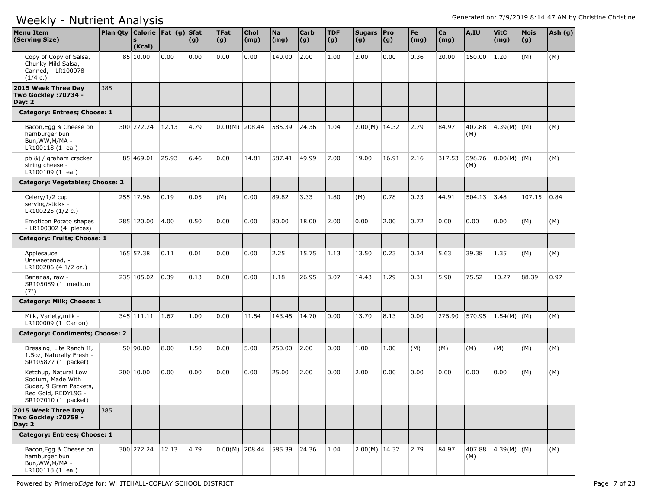| <b>Menu Item</b><br>(Serving Size)                                                                                | Plan Qty Calorie   Fat (g) Sfat | (Kcal)           |       | (g)  | <b>TFat</b><br> (g) | <b>Chol</b><br>(mg) | <b>Na</b><br>(mg) | <b>Carb</b><br>(g) | <b>TDF</b><br>(g) | Sugars   Pro<br>(g) | (g)   | Fe<br>(mg) | Ca<br>(mg) | A,IU          | <b>VitC</b><br>(mg) | <b>Mois</b><br>(g) | Ash (g) |
|-------------------------------------------------------------------------------------------------------------------|---------------------------------|------------------|-------|------|---------------------|---------------------|-------------------|--------------------|-------------------|---------------------|-------|------------|------------|---------------|---------------------|--------------------|---------|
| Copy of Copy of Salsa,<br>Chunky Mild Salsa,<br>Canned, - LR100078<br>(1/4 c.)                                    |                                 | 85 10.00         | 0.00  | 0.00 | 0.00                | 0.00                | 140.00            | 2.00               | 1.00              | 2.00                | 0.00  | 0.36       | 20.00      | 150.00        | 1.20                | (M)                | (M)     |
| 2015 Week Three Day<br><b>Two Gockley : 70734 -</b><br>Day: $2$                                                   | 385                             |                  |       |      |                     |                     |                   |                    |                   |                     |       |            |            |               |                     |                    |         |
| Category: Entrees; Choose: 1                                                                                      |                                 |                  |       |      |                     |                     |                   |                    |                   |                     |       |            |            |               |                     |                    |         |
| Bacon, Egg & Cheese on<br>hamburger bun<br>Bun, WW, M/MA -<br>LR100118 (1 ea.)                                    |                                 | 300 272.24       | 12.13 | 4.79 | $0.00(M)$ 208.44    |                     | 585.39            | 24.36              | 1.04              | $2.00(M)$ 14.32     |       | 2.79       | 84.97      | 407.88<br>(M) | 4.39(M) (M)         |                    | (M)     |
| pb &j / graham cracker<br>string cheese -<br>LR100109 (1 ea.)                                                     |                                 | 85 469.01        | 25.93 | 6.46 | 0.00                | 14.81               | 587.41            | 49.99              | 7.00              | 19.00               | 16.91 | 2.16       | 317.53     | 598.76<br>(M) | $ 0.00(M) $ (M)     |                    | (M)     |
| Category: Vegetables; Choose: 2                                                                                   |                                 |                  |       |      |                     |                     |                   |                    |                   |                     |       |            |            |               |                     |                    |         |
| Celery/1/2 cup<br>serving/sticks -<br>LR100225 (1/2 c.)                                                           |                                 | 255 17.96        | 0.19  | 0.05 | (M)                 | 0.00                | 89.82             | 3.33               | 1.80              | (M)                 | 0.78  | 0.23       | 44.91      | 504.13        | 3.48                | 107.15             | 0.84    |
| Emoticon Potato shapes<br>- LR100302 (4 pieces)                                                                   |                                 | 285 120.00       | 4.00  | 0.50 | 0.00                | 0.00                | 80.00             | 18.00              | 2.00              | 0.00                | 2.00  | 0.72       | 0.00       | 0.00          | 0.00                | (M)                | (M)     |
| Category: Fruits; Choose: 1                                                                                       |                                 |                  |       |      |                     |                     |                   |                    |                   |                     |       |            |            |               |                     |                    |         |
| Applesauce<br>Unsweetened, -<br>LR100206 (4 1/2 oz.)                                                              |                                 | 165 57.38        | 0.11  | 0.01 | 0.00                | 0.00                | 2.25              | 15.75              | 1.13              | 13.50               | 0.23  | 0.34       | 5.63       | 39.38         | 1.35                | (M)                | (M)     |
| Bananas, raw -<br>SR105089 (1 medium<br>(7")                                                                      |                                 | 235 105.02       | 0.39  | 0.13 | 0.00                | 0.00                | 1.18              | 26.95              | 3.07              | 14.43               | 1.29  | 0.31       | 5.90       | 75.52         | 10.27               | 88.39              | 0.97    |
| Category: Milk; Choose: 1                                                                                         |                                 |                  |       |      |                     |                     |                   |                    |                   |                     |       |            |            |               |                     |                    |         |
| Milk, Variety, milk -<br>LR100009 (1 Carton)                                                                      |                                 | 345 111.11       | 1.67  | 1.00 | 0.00                | 11.54               | 143.45            | 14.70              | 0.00              | 13.70               | 8.13  | 0.00       | 275.90     | 570.95        | $1.54(M)$ (M)       |                    | (M)     |
| <b>Category: Condiments; Choose: 2</b>                                                                            |                                 |                  |       |      |                     |                     |                   |                    |                   |                     |       |            |            |               |                     |                    |         |
| Dressing, Lite Ranch II,<br>1.5oz, Naturally Fresh -<br>SR105877 (1 packet)                                       |                                 | 50 90.00         | 8.00  | 1.50 | 0.00                | 5.00                | 250.00            | 2.00               | 0.00              | 1.00                | 1.00  | (M)        | (M)        | (M)           | (M)                 | (M)                | (M)     |
| Ketchup, Natural Low<br>Sodium, Made With<br>Sugar, 9 Gram Packets,<br>Red Gold, REDYL9G -<br>SR107010 (1 packet) |                                 | 200 10.00        | 0.00  | 0.00 | 0.00                | 0.00                | 25.00             | 2.00               | 0.00              | 2.00                | 0.00  | 0.00       | 0.00       | 0.00          | 0.00                | (M)                | (M)     |
| 2015 Week Three Day<br>Two Gockley : 70759 -<br>Day: $2$                                                          | 385                             |                  |       |      |                     |                     |                   |                    |                   |                     |       |            |            |               |                     |                    |         |
| Category: Entrees; Choose: 1                                                                                      |                                 |                  |       |      |                     |                     |                   |                    |                   |                     |       |            |            |               |                     |                    |         |
| Bacon, Egg & Cheese on<br>hamburger bun<br>Bun, WW, M/MA -<br>LR100118 (1 ea.)                                    |                                 | 300 272.24 12.13 |       | 4.79 |                     | $0.00(M)$ 208.44    | 585.39 24.36      |                    | 1.04              | $2.00(M)$ 14.32     |       | 2.79       | 84.97      | (M)           | 407.88 4.39(M) (M)  |                    | (M)     |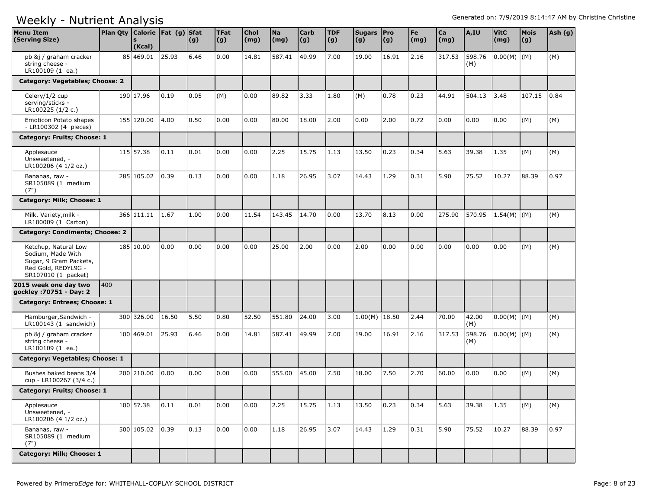| <b>Menu Item</b><br>(Serving Size)                                                                                | Plan Qty   Calorie   Fat (g)   Sfat | (Kcal)     |                | (g)  | <b>TFat</b><br>(g) | Chol<br>(mg) | <b>Na</b><br>(mg) | <b>Carb</b><br> (g) | <b>TDF</b><br>$\vert (g) \vert$ | Sugars Pro<br>(g) | $\vert (g) \vert$ | Fe<br>(mg) | Ca<br>(mg) | A,IU          | <b>VitC</b><br>(mg) | <b>Mois</b><br>(g) | Ash (g) |
|-------------------------------------------------------------------------------------------------------------------|-------------------------------------|------------|----------------|------|--------------------|--------------|-------------------|---------------------|---------------------------------|-------------------|-------------------|------------|------------|---------------|---------------------|--------------------|---------|
| pb &j / graham cracker<br>string cheese -<br>LR100109 (1 ea.)                                                     |                                     | 85 469.01  | 25.93          | 6.46 | 0.00               | 14.81        | 587.41            | 49.99               | 7.00                            | 19.00             | 16.91             | 2.16       | 317.53     | 598.76<br>(M) | $ 0.00(M) $ (M)     |                    | (M)     |
| Category: Vegetables; Choose: 2                                                                                   |                                     |            |                |      |                    |              |                   |                     |                                 |                   |                   |            |            |               |                     |                    |         |
| Celery/1/2 cup<br>serving/sticks -<br>LR100225 (1/2 c.)                                                           |                                     | 190 17.96  | 0.19           | 0.05 | (M)                | 0.00         | 89.82             | 3.33                | 1.80                            | (M)               | 0.78              | 0.23       | 44.91      | 504.13        | 3.48                | 107.15             | 0.84    |
| Emoticon Potato shapes<br>- LR100302 (4 pieces)                                                                   |                                     | 155 120.00 | 4.00           | 0.50 | 0.00               | 0.00         | 80.00             | 18.00               | 2.00                            | 0.00              | 2.00              | 0.72       | 0.00       | 0.00          | 0.00                | (M)                | (M)     |
| Category: Fruits; Choose: 1                                                                                       |                                     |            |                |      |                    |              |                   |                     |                                 |                   |                   |            |            |               |                     |                    |         |
| Applesauce<br>Unsweetened, -<br>LR100206 (4 1/2 oz.)                                                              |                                     | 115 57.38  | 0.11           | 0.01 | 0.00               | 0.00         | 2.25              | 15.75               | 1.13                            | 13.50             | 0.23              | 0.34       | 5.63       | 39.38         | 1.35                | (M)                | (M)     |
| Bananas, raw -<br>SR105089 (1 medium<br>(7")                                                                      |                                     | 285 105.02 | 0.39           | 0.13 | 0.00               | 0.00         | 1.18              | 26.95               | 3.07                            | 14.43             | 1.29              | 0.31       | 5.90       | 75.52         | 10.27               | 88.39              | 0.97    |
| Category: Milk; Choose: 1                                                                                         |                                     |            |                |      |                    |              |                   |                     |                                 |                   |                   |            |            |               |                     |                    |         |
| Milk, Variety, milk -<br>LR100009 (1 Carton)                                                                      |                                     | 366 111.11 | 1.67           | 1.00 | 0.00               | 11.54        | 143.45            | 14.70               | 0.00                            | 13.70             | 8.13              | 0.00       | 275.90     | 570.95        | $1.54(M)$ (M)       |                    | (M)     |
| <b>Category: Condiments; Choose: 2</b>                                                                            |                                     |            |                |      |                    |              |                   |                     |                                 |                   |                   |            |            |               |                     |                    |         |
| Ketchup, Natural Low<br>Sodium, Made With<br>Sugar, 9 Gram Packets,<br>Red Gold, REDYL9G -<br>SR107010 (1 packet) |                                     | 185 10.00  | 0.00           | 0.00 | 0.00               | 0.00         | 25.00             | 2.00                | 0.00                            | 2.00              | 0.00              | 0.00       | 0.00       | 0.00          | 0.00                | (M)                | (M)     |
| 2015 week one day two<br>gockley: 70751 - Day: 2                                                                  | 400                                 |            |                |      |                    |              |                   |                     |                                 |                   |                   |            |            |               |                     |                    |         |
| Category: Entrees; Choose: 1                                                                                      |                                     |            |                |      |                    |              |                   |                     |                                 |                   |                   |            |            |               |                     |                    |         |
| Hamburger, Sandwich -<br>$LR100143$ (1 sandwich)                                                                  |                                     | 300 326.00 | 16.50          | 5.50 | 0.80               | 52.50        | 551.80            | 24.00               | 3.00                            | $1.00(M)$ 18.50   |                   | 2.44       | 70.00      | 42.00<br>(M)  | $0.00(M)$ (M)       |                    | (M)     |
| pb &j / graham cracker<br>string cheese -<br>LR100109 (1 ea.)                                                     |                                     | 100 469.01 | 25.93          | 6.46 | 0.00               | 14.81        | 587.41            | 49.99               | 7.00                            | 19.00             | 16.91             | 2.16       | 317.53     | 598.76<br>(M) | $0.00(M)$ (M)       |                    | (M)     |
| Category: Vegetables; Choose: 1                                                                                   |                                     |            |                |      |                    |              |                   |                     |                                 |                   |                   |            |            |               |                     |                    |         |
| Bushes baked beans 3/4<br>cup - LR100267 (3/4 c.)                                                                 |                                     | 200 210.00 | 0.00           | 0.00 | 0.00               | 0.00         | 555.00            | 45.00               | 7.50                            | 18.00             | 7.50              | 2.70       | 60.00      | 0.00          | 0.00                | (M)                | (M)     |
| Category: Fruits; Choose: 1                                                                                       |                                     |            |                |      |                    |              |                   |                     |                                 |                   |                   |            |            |               |                     |                    |         |
| Applesauce<br>Unsweetened, -<br>LR100206 (4 1/2 oz.)                                                              |                                     | 100 57.38  | 0.11           | 0.01 | 0.00               | 0.00         | 2.25              | 15.75               | 1.13                            | 13.50             | 0.23              | 0.34       | 5.63       | 39.38         | 1.35                | (M)                | (M)     |
| Bananas, raw -<br>SR105089 (1 medium<br>(7")                                                                      |                                     | 500 105.02 | $ 0.39\rangle$ | 0.13 | 0.00               | 0.00         | 1.18              | 26.95               | 3.07                            | 14.43             | 1.29              | 0.31       | 5.90       | 75.52         | 10.27               | 88.39              | 0.97    |
| Category: Milk; Choose: 1                                                                                         |                                     |            |                |      |                    |              |                   |                     |                                 |                   |                   |            |            |               |                     |                    |         |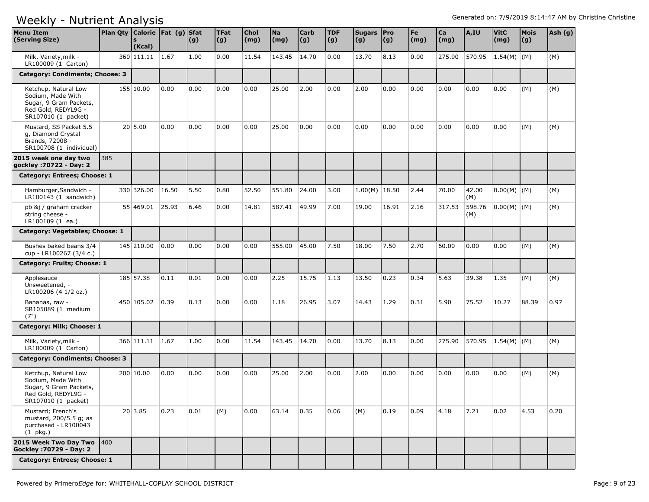| <b>Menu Item</b><br>(Serving Size)                                                                                | Plan Qty $\vert$ Calorie $\vert$ Fat (g) | $\mathbf{s}$<br>(Kcal) |       | <b>Sfat</b><br>(g) | <b>TFat</b><br>(g) | Chol<br>$\mathsf{(mg)}$ | <b>Na</b><br>(mg) | Carb<br> (g) | <b>TDF</b><br>(g) | Sugars Pro<br>(g) | (g)   | Fe<br>$\mathsf{(mg)}$ | Ca<br>(mg) | A,IU          | <b>VitC</b><br>(mg) | <b>Mois</b><br>(g) | Ash (g) |
|-------------------------------------------------------------------------------------------------------------------|------------------------------------------|------------------------|-------|--------------------|--------------------|-------------------------|-------------------|--------------|-------------------|-------------------|-------|-----------------------|------------|---------------|---------------------|--------------------|---------|
| Milk, Variety, milk -<br>LR100009 (1 Carton)                                                                      |                                          | 360 111.11 1.67        |       | 1.00               | 0.00               | 11.54                   | 143.45            | 14.70        | 0.00              | 13.70             | 8.13  | 0.00                  | 275.90     | 570.95        | $1.54(M)$ (M)       |                    | (M)     |
| Category: Condiments; Choose: 3                                                                                   |                                          |                        |       |                    |                    |                         |                   |              |                   |                   |       |                       |            |               |                     |                    |         |
| Ketchup, Natural Low<br>Sodium, Made With<br>Sugar, 9 Gram Packets,<br>Red Gold, REDYL9G -<br>SR107010 (1 packet) |                                          | 155 10.00              | 0.00  | 0.00               | 0.00               | 0.00                    | 25.00             | 2.00         | 0.00              | 2.00              | 0.00  | 0.00                  | 0.00       | 0.00          | 0.00                | (M)                | (M)     |
| Mustard, SS Packet 5.5<br>g, Diamond Crystal<br>Brands, 72008 -<br>SR100708 (1 individual)                        |                                          | 20 5.00                | 0.00  | 0.00               | 0.00               | 0.00                    | 25.00             | 0.00         | 0.00              | 0.00              | 0.00  | 0.00                  | 0.00       | 0.00          | 0.00                | (M)                | (M)     |
| 2015 week one day two<br>gockley: 70722 - Day: 2                                                                  | 385                                      |                        |       |                    |                    |                         |                   |              |                   |                   |       |                       |            |               |                     |                    |         |
| Category: Entrees; Choose: 1                                                                                      |                                          |                        |       |                    |                    |                         |                   |              |                   |                   |       |                       |            |               |                     |                    |         |
| Hamburger, Sandwich -<br>LR100143 (1 sandwich)                                                                    |                                          | 330 326.00             | 16.50 | 5.50               | 0.80               | 52.50                   | 551.80            | 24.00        | 3.00              | $1.00(M)$ 18.50   |       | 2.44                  | 70.00      | 42.00<br>(M)  | $0.00(M)$ (M)       |                    | (M)     |
| pb &j / graham cracker<br>string cheese -<br>LR100109 (1 ea.)                                                     |                                          | 55 469.01              | 25.93 | 6.46               | 0.00               | 14.81                   | 587.41            | 49.99        | 7.00              | 19.00             | 16.91 | 2.16                  | 317.53     | 598.76<br>(M) | $0.00(M)$ (M)       |                    | (M)     |
| Category: Vegetables; Choose: 1                                                                                   |                                          |                        |       |                    |                    |                         |                   |              |                   |                   |       |                       |            |               |                     |                    |         |
| Bushes baked beans 3/4<br>cup - LR100267 (3/4 c.)                                                                 |                                          | 145 210.00             | 0.00  | 0.00               | 0.00               | 0.00                    | 555.00            | 45.00        | 7.50              | 18.00             | 7.50  | 2.70                  | 60.00      | 0.00          | 0.00                | (M)                | (M)     |
| Category: Fruits; Choose: 1                                                                                       |                                          |                        |       |                    |                    |                         |                   |              |                   |                   |       |                       |            |               |                     |                    |         |
| Applesauce<br>Unsweetened, -<br>LR100206 (4 1/2 oz.)                                                              |                                          | 185 57.38              | 0.11  | 0.01               | 0.00               | 0.00                    | 2.25              | 15.75        | 1.13              | 13.50             | 0.23  | 0.34                  | 5.63       | 39.38         | 1.35                | (M)                | (M)     |
| Bananas, raw -<br>SR105089 (1 medium<br>(7")                                                                      |                                          | 450 105.02             | 0.39  | 0.13               | 0.00               | 0.00                    | 1.18              | 26.95        | 3.07              | 14.43             | 1.29  | 0.31                  | 5.90       | 75.52         | 10.27               | 88.39              | 0.97    |
| Category: Milk; Choose: 1                                                                                         |                                          |                        |       |                    |                    |                         |                   |              |                   |                   |       |                       |            |               |                     |                    |         |
| Milk, Variety, milk -<br>LR100009 (1 Carton)                                                                      |                                          | 366 111.11 1.67        |       | 1.00               | 0.00               | 11.54                   | 143.45            | 14.70        | 0.00              | 13.70             | 8.13  | 0.00                  | 275.90     | 570.95        | $1.54(M)$ (M)       |                    | (M)     |
| Category: Condiments; Choose: 3                                                                                   |                                          |                        |       |                    |                    |                         |                   |              |                   |                   |       |                       |            |               |                     |                    |         |
| Ketchup, Natural Low<br>Sodium, Made With<br>Sugar, 9 Gram Packets,<br>Red Gold, REDYL9G -<br>SR107010 (1 packet) |                                          | 200 10.00              | 0.00  | 0.00               | 0.00               | 0.00                    | 25.00             | 2.00         | 0.00              | 2.00              | 0.00  | 0.00                  | 0.00       | 0.00          | 0.00                | (M)                | (M)     |
| Mustard; French's<br>mustard, 200/5.5 g; as<br>purchased - LR100043<br>$(1$ pkg.)                                 |                                          | 20 3.85                | 0.23  | 0.01               | (M)                | 0.00                    | 63.14             | 0.35         | 0.06              | (M)               | 0.19  | 0.09                  | 4.18       | 7.21          | 0.02                | 4.53               | 0.20    |
| 2015 Week Two Day Two<br>Gockley : 70729 - Day: 2                                                                 | $ 400\rangle$                            |                        |       |                    |                    |                         |                   |              |                   |                   |       |                       |            |               |                     |                    |         |
| Category: Entrees; Choose: 1                                                                                      |                                          |                        |       |                    |                    |                         |                   |              |                   |                   |       |                       |            |               |                     |                    |         |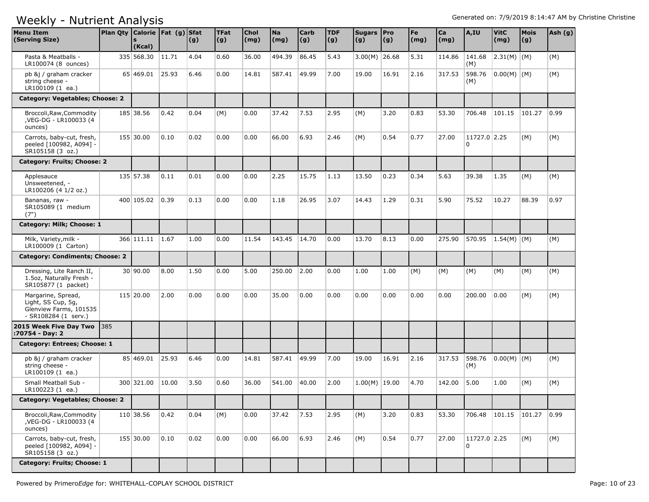| <b>Menu Item</b><br>(Serving Size)                                                         | Plan Qty Calorie   Fat (g) Sfat | (Kcal)          |       | (g)  | <b>TFat</b><br> (g) | <b>Chol</b><br>(mg) | <b>Na</b><br>(mg) | <b>Carb</b><br>(g) | <b>TDF</b><br>(g) | Sugars Pro<br>(g) | (g)   | Fe<br>(mg) | Ca<br>(mg) | A,IU              | <b>VitC</b><br>(mg) | Mois<br>(g) | Ash (g) |
|--------------------------------------------------------------------------------------------|---------------------------------|-----------------|-------|------|---------------------|---------------------|-------------------|--------------------|-------------------|-------------------|-------|------------|------------|-------------------|---------------------|-------------|---------|
| Pasta & Meatballs -<br>LR100074 (8 ounces)                                                 |                                 | 335 568.30      | 11.71 | 4.04 | 0.60                | 36.00               | 494.39            | 86.45              | 5.43              | $3.00(M)$ 26.68   |       | 5.31       | 114.86     | 141.68<br>(M)     | $ 2.31(M)$ (M)      |             | (M)     |
| pb &j / graham cracker<br>string cheese -<br>LR100109 (1 ea.)                              |                                 | 65 469.01       | 25.93 | 6.46 | 0.00                | 14.81               | 587.41            | 49.99              | 7.00              | 19.00             | 16.91 | 2.16       | 317.53     | 598.76<br>(M)     | $0.00(M)$ (M)       |             | (M)     |
| Category: Vegetables; Choose: 2                                                            |                                 |                 |       |      |                     |                     |                   |                    |                   |                   |       |            |            |                   |                     |             |         |
| Broccoli, Raw, Commodity<br>,VEG-DG - LR100033 (4<br>ounces)                               |                                 | 185 38.56       | 0.42  | 0.04 | (M)                 | 0.00                | 37.42             | 7.53               | 2.95              | (M)               | 3.20  | 0.83       | 53.30      | 706.48            | 101.15              | 101.27      | 0.99    |
| Carrots, baby-cut, fresh,<br>peeled [100982, A094] -<br>SR105158 (3 oz.)                   |                                 | 155 30.00       | 0.10  | 0.02 | 0.00                | 0.00                | 66.00             | 6.93               | 2.46              | (M)               | 0.54  | 0.77       | 27.00      | 11727.0 2.25<br>0 |                     | (M)         | (M)     |
| Category: Fruits; Choose: 2                                                                |                                 |                 |       |      |                     |                     |                   |                    |                   |                   |       |            |            |                   |                     |             |         |
| Applesauce<br>Unsweetened, -<br>LR100206 (4 1/2 oz.)                                       |                                 | 135 57.38       | 0.11  | 0.01 | 0.00                | 0.00                | 2.25              | 15.75              | 1.13              | 13.50             | 0.23  | 0.34       | 5.63       | 39.38             | 1.35                | (M)         | (M)     |
| Bananas, raw -<br>SR105089 (1 medium<br>(7")                                               |                                 | 400 105.02      | 0.39  | 0.13 | 0.00                | 0.00                | 1.18              | 26.95              | 3.07              | 14.43             | 1.29  | 0.31       | 5.90       | 75.52             | 10.27               | 88.39       | 0.97    |
| Category: Milk; Choose: 1                                                                  |                                 |                 |       |      |                     |                     |                   |                    |                   |                   |       |            |            |                   |                     |             |         |
| Milk, Variety, milk -<br>LR100009 (1 Carton)                                               |                                 | 366 111.11 1.67 |       | 1.00 | 0.00                | 11.54               | 143.45            | 14.70              | 0.00              | 13.70             | 8.13  | 0.00       | 275.90     | 570.95            | $1.54(M)$ (M)       |             | (M)     |
| Category: Condiments; Choose: 2                                                            |                                 |                 |       |      |                     |                     |                   |                    |                   |                   |       |            |            |                   |                     |             |         |
| Dressing, Lite Ranch II,<br>1.5oz, Naturally Fresh -<br>SR105877 (1 packet)                |                                 | 30 90.00        | 8.00  | 1.50 | 0.00                | 5.00                | 250.00            | 2.00               | 0.00              | 1.00              | 1.00  | (M)        | (M)        | (M)               | (M)                 | (M)         | (M)     |
| Margarine, Spread,<br>Light, SS Cup, 5g,<br>Glenview Farms, 101535<br>- SR108284 (1 serv.) |                                 | 115 20.00       | 2.00  | 0.00 | 0.00                | 0.00                | 35.00             | 0.00               | 0.00              | 0.00              | 0.00  | 0.00       | 0.00       | 200.00            | 0.00                | (M)         | (M)     |
| 2015 Week Five Day Two<br>:70754 - Day: 2                                                  | <b>385</b>                      |                 |       |      |                     |                     |                   |                    |                   |                   |       |            |            |                   |                     |             |         |
| Category: Entrees; Choose: 1                                                               |                                 |                 |       |      |                     |                     |                   |                    |                   |                   |       |            |            |                   |                     |             |         |
| pb &j / graham cracker<br>string cheese -<br>LR100109 (1 ea.)                              |                                 | 85 469.01 25.93 |       | 6.46 | 0.00                | 14.81               | 587.41            | 49.99              | 7.00              | 19.00             | 16.91 | 2.16       | 317.53     | 598.76<br>(M)     | $ 0.00(M) $ (M)     |             | (M)     |
| Small Meatball Sub -<br>LR100223 (1 ea.)                                                   |                                 | 300 321.00      | 10.00 | 3.50 | 0.60                | 36.00               | 541.00            | 40.00              | 2.00              | $1.00(M)$ 19.00   |       | 4.70       | 142.00     | 5.00              | 1.00                | (M)         | (M)     |
| Category: Vegetables; Choose: 2                                                            |                                 |                 |       |      |                     |                     |                   |                    |                   |                   |       |            |            |                   |                     |             |         |
| Broccoli, Raw, Commodity<br>,VEG-DG - LR100033 (4<br>ounces)                               |                                 | 110 38.56       | 0.42  | 0.04 | (M)                 | 0.00                | 37.42             | 7.53               | 2.95              | (M)               | 3.20  | 0.83       | 53.30      | 706.48            | 101.15              | 101.27      | 0.99    |
| Carrots, baby-cut, fresh,<br>peeled [100982, A094] -<br>SR105158 (3 oz.)                   |                                 | 155 30.00       | 0.10  | 0.02 | 0.00                | 0.00                | 66.00             | 6.93               | 2.46              | (M)               | 0.54  | 0.77       | 27.00      | 11727.0 2.25<br>0 |                     | (M)         | (M)     |
| Category: Fruits; Choose: 1                                                                |                                 |                 |       |      |                     |                     |                   |                    |                   |                   |       |            |            |                   |                     |             |         |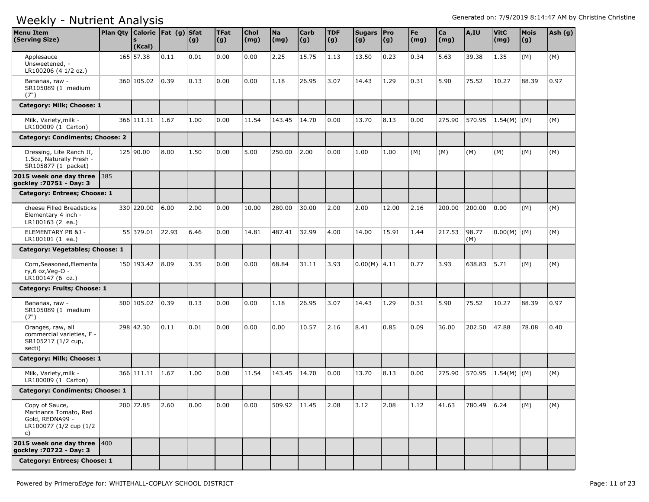| <b>Menu Item</b><br>(Serving Size)                                                         | Plan Qty   Calorie   Fat (g)   Sfat | (Kcal)     |       | (g)  | <b>TFat</b><br>$\vert (g) \vert$ | Chol<br>(mg) | <b>Na</b><br>(mg) | <b>Carb</b><br>$\vert (g) \vert$ | <b>TDF</b><br>(g) | Sugars Pro<br>(g) | (g)   | Fe<br>$\mathsf{(mg)}$ | Ca<br>(mg) | A,IU         | <b>VitC</b><br>(mg) | <b>Mois</b><br>(g) | Ash (g) |
|--------------------------------------------------------------------------------------------|-------------------------------------|------------|-------|------|----------------------------------|--------------|-------------------|----------------------------------|-------------------|-------------------|-------|-----------------------|------------|--------------|---------------------|--------------------|---------|
| Applesauce<br>Unsweetened, -<br>LR100206 (4 1/2 oz.)                                       |                                     | 165 57.38  | 0.11  | 0.01 | 0.00                             | 0.00         | 2.25              | 15.75                            | 1.13              | 13.50             | 0.23  | 0.34                  | 5.63       | 39.38        | 1.35                | (M)                | (M)     |
| Bananas, raw -<br>SR105089 (1 medium<br>(7")                                               |                                     | 360 105.02 | 0.39  | 0.13 | 0.00                             | 0.00         | 1.18              | 26.95                            | 3.07              | 14.43             | 1.29  | 0.31                  | 5.90       | 75.52        | 10.27               | 88.39              | 0.97    |
| Category: Milk; Choose: 1                                                                  |                                     |            |       |      |                                  |              |                   |                                  |                   |                   |       |                       |            |              |                     |                    |         |
| Milk, Variety, milk -<br>LR100009 (1 Carton)                                               |                                     | 366 111.11 | 1.67  | 1.00 | 0.00                             | 11.54        | 143.45            | 14.70                            | 0.00              | 13.70             | 8.13  | 0.00                  | 275.90     | 570.95       | $1.54(M)$ (M)       |                    | (M)     |
| Category: Condiments; Choose: 2                                                            |                                     |            |       |      |                                  |              |                   |                                  |                   |                   |       |                       |            |              |                     |                    |         |
| Dressing, Lite Ranch II,<br>1.5oz, Naturally Fresh -<br>SR105877 (1 packet)                |                                     | 125 90.00  | 8.00  | 1.50 | 0.00                             | 5.00         | 250.00            | 2.00                             | 0.00              | 1.00              | 1.00  | (M)                   | (M)        | (M)          | (M)                 | (M)                | (M)     |
| 2015 week one day three 385<br>gockley : 70751 - Day: 3                                    |                                     |            |       |      |                                  |              |                   |                                  |                   |                   |       |                       |            |              |                     |                    |         |
| Category: Entrees; Choose: 1                                                               |                                     |            |       |      |                                  |              |                   |                                  |                   |                   |       |                       |            |              |                     |                    |         |
| cheese Filled Breadsticks<br>Elementary 4 inch -<br>LR100163 (2 ea.)                       |                                     | 330 220.00 | 6.00  | 2.00 | 0.00                             | 10.00        | 280.00            | 30.00                            | 2.00              | 2.00              | 12.00 | 2.16                  | 200.00     | 200.00       | 0.00                | (M)                | (M)     |
| ELEMENTARY PB &J -<br>LR100101 (1 ea.)                                                     |                                     | 55 379.01  | 22.93 | 6.46 | 0.00                             | 14.81        | 487.41            | 32.99                            | 4.00              | 14.00             | 15.91 | 1.44                  | 217.53     | 98.77<br>(M) | $0.00(M)$ (M)       |                    | (M)     |
| Category: Vegetables; Choose: 1                                                            |                                     |            |       |      |                                  |              |                   |                                  |                   |                   |       |                       |            |              |                     |                    |         |
| Corn, Seasoned, Elementa<br>ry,6 oz, Veg-O -<br>LR100147 (6 oz.)                           |                                     | 150 193.42 | 8.09  | 3.35 | 0.00                             | 0.00         | 68.84             | 31.11                            | 3.93              | $0.00(M)$ 4.11    |       | 0.77                  | 3.93       | 638.83       | 5.71                | (M)                | (M)     |
| Category: Fruits; Choose: 1                                                                |                                     |            |       |      |                                  |              |                   |                                  |                   |                   |       |                       |            |              |                     |                    |         |
| Bananas, raw -<br>SR105089 (1 medium<br>(7")                                               |                                     | 500 105.02 | 0.39  | 0.13 | 0.00                             | 0.00         | 1.18              | 26.95                            | 3.07              | 14.43             | 1.29  | 0.31                  | 5.90       | 75.52        | 10.27               | 88.39              | 0.97    |
| Oranges, raw, all<br>commercial varieties, F -<br>SR105217 (1/2 cup,<br>secti)             |                                     | 298 42.30  | 0.11  | 0.01 | 0.00                             | 0.00         | 0.00              | 10.57                            | 2.16              | 8.41              | 0.85  | 0.09                  | 36.00      | 202.50       | 47.88               | 78.08              | 0.40    |
| Category: Milk; Choose: 1                                                                  |                                     |            |       |      |                                  |              |                   |                                  |                   |                   |       |                       |            |              |                     |                    |         |
| Milk, Variety, milk -<br>LR100009 (1 Carton)                                               |                                     | 366 111.11 | 1.67  | 1.00 | 0.00                             | 11.54        | 143.45            | 14.70                            | 0.00              | 13.70             | 8.13  | 0.00                  | 275.90     | 570.95       | $1.54(M)$ (M)       |                    | (M)     |
| Category: Condiments; Choose: 1                                                            |                                     |            |       |      |                                  |              |                   |                                  |                   |                   |       |                       |            |              |                     |                    |         |
| Copy of Sauce,<br>Marinanra Tomato, Red<br>Gold, REDNA99 -<br>LR100077 (1/2 cup (1/2<br>c) |                                     | 200 72.85  | 2.60  | 0.00 | 0.00                             | 0.00         | 509.92 11.45      |                                  | 2.08              | 3.12              | 2.08  | 1.12                  | 41.63      | 780.49 6.24  |                     | (M)                | (M)     |
| 2015 week one day three $ 400 $<br>gockley : 70722 - Day: 3                                |                                     |            |       |      |                                  |              |                   |                                  |                   |                   |       |                       |            |              |                     |                    |         |
| Category: Entrees; Choose: 1                                                               |                                     |            |       |      |                                  |              |                   |                                  |                   |                   |       |                       |            |              |                     |                    |         |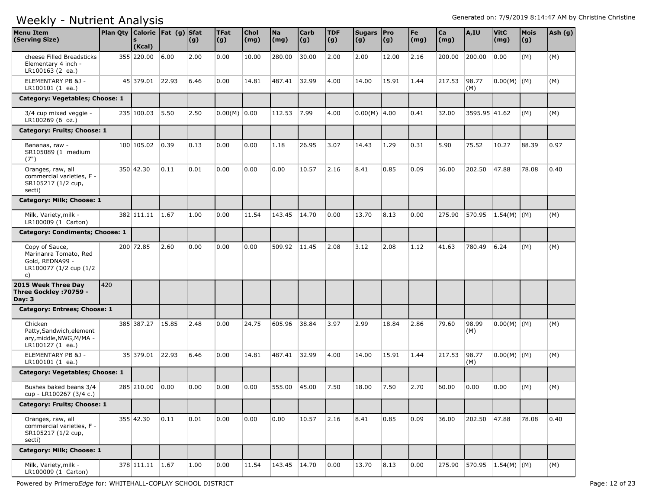| <b>Menu Item</b><br>(Serving Size)                                                         |     | Plan Qty   Calorie   Fat (g)   Sfat<br>$\mathbf{s}$<br>(Kcal) |       | (g)  | <b>TFat</b><br>(g) | <b>Chol</b><br>(mg) | <b>Na</b><br>(mg) | <b>Carb</b><br> (g) | <b>TDF</b><br>(g) | Sugars   Pro<br>(g) | $\vert (g) \vert$ | Fe<br>(mg) | Ca<br>(mg) | A,IU               | <b>VitC</b><br>(mg) | <b>Mois</b><br>(g) | Ash (g) |
|--------------------------------------------------------------------------------------------|-----|---------------------------------------------------------------|-------|------|--------------------|---------------------|-------------------|---------------------|-------------------|---------------------|-------------------|------------|------------|--------------------|---------------------|--------------------|---------|
| cheese Filled Breadsticks<br>Elementary 4 inch -<br>LR100163 (2 ea.)                       |     | 355 220.00                                                    | 6.00  | 2.00 | 0.00               | 10.00               | 280.00            | 30.00               | 2.00              | 2.00                | 12.00             | 2.16       | 200.00     | 200.00             | 0.00                | (M)                | (M)     |
| ELEMENTARY PB & 1 -<br>LR100101 (1 ea.)                                                    |     | 45 379.01 22.93                                               |       | 6.46 | 0.00               | 14.81               | 487.41            | 32.99               | 4.00              | 14.00               | 15.91             | 1.44       | 217.53     | 98.77<br>(M)       | $0.00(M)$ (M)       |                    | (M)     |
| Category: Vegetables; Choose: 1                                                            |     |                                                               |       |      |                    |                     |                   |                     |                   |                     |                   |            |            |                    |                     |                    |         |
| 3/4 cup mixed veggie -<br>LR100269 (6 oz.)                                                 |     | 235 100.03                                                    | 5.50  | 2.50 | $0.00(M)$ 0.00     |                     | 112.53            | 7.99                | 4.00              | $0.00(M)$ 4.00      |                   | 0.41       | 32.00      | 3595.95 41.62      |                     | (M)                | (M)     |
| Category: Fruits; Choose: 1                                                                |     |                                                               |       |      |                    |                     |                   |                     |                   |                     |                   |            |            |                    |                     |                    |         |
| Bananas, raw -<br>SR105089 (1 medium<br>(7")                                               |     | 100 105.02                                                    | 0.39  | 0.13 | 0.00               | 0.00                | 1.18              | 26.95               | 3.07              | 14.43               | 1.29              | 0.31       | 5.90       | 75.52              | 10.27               | 88.39              | 0.97    |
| Oranges, raw, all<br>commercial varieties, F -<br>SR105217 (1/2 cup,<br>secti)             |     | 350 42.30                                                     | 0.11  | 0.01 | 0.00               | 0.00                | 0.00              | 10.57               | 2.16              | 8.41                | 0.85              | 0.09       | 36.00      | 202.50             | 47.88               | 78.08              | 0.40    |
| Category: Milk; Choose: 1                                                                  |     |                                                               |       |      |                    |                     |                   |                     |                   |                     |                   |            |            |                    |                     |                    |         |
| Milk, Variety, milk -<br>LR100009 (1 Carton)                                               |     | 382 111.11 1.67                                               |       | 1.00 | 0.00               | 11.54               | 143.45            | 14.70               | 0.00              | 13.70               | 8.13              | 0.00       | 275.90     | 570.95             | $1.54(M)$ (M)       |                    | (M)     |
| <b>Category: Condiments; Choose: 1</b>                                                     |     |                                                               |       |      |                    |                     |                   |                     |                   |                     |                   |            |            |                    |                     |                    |         |
| Copy of Sauce,<br>Marinanra Tomato, Red<br>Gold, REDNA99 -<br>LR100077 (1/2 cup (1/2<br>c) |     | 200 72.85                                                     | 2.60  | 0.00 | 0.00               | 0.00                | 509.92            | 11.45               | 2.08              | 3.12                | 2.08              | 1.12       | 41.63      | 780.49             | 6.24                | (M)                | (M)     |
| 2015 Week Three Day<br>Three Gockley : 70759 -<br>Day: $3$                                 | 420 |                                                               |       |      |                    |                     |                   |                     |                   |                     |                   |            |            |                    |                     |                    |         |
| Category: Entrees; Choose: 1                                                               |     |                                                               |       |      |                    |                     |                   |                     |                   |                     |                   |            |            |                    |                     |                    |         |
| Chicken<br>Patty, Sandwich, element<br>ary, middle, NWG, M/MA -<br>LR100127 (1 ea.)        |     | 385 387.27                                                    | 15.85 | 2.48 | 0.00               | 24.75               | 605.96            | 38.84               | 3.97              | 2.99                | 18.84             | 2.86       | 79.60      | 98.99<br>(M)       | $0.00(M)$ $(M)$     |                    | (M)     |
| ELEMENTARY PB &J -<br>LR100101 (1 ea.)                                                     |     | 35 379.01                                                     | 22.93 | 6.46 | 0.00               | 14.81               | 487.41            | 32.99               | 4.00              | 14.00               | 15.91             | 1.44       | 217.53     | 98.77<br>(M)       | $0.00(M)$ (M)       |                    | (M)     |
| Category: Vegetables; Choose: 1                                                            |     |                                                               |       |      |                    |                     |                   |                     |                   |                     |                   |            |            |                    |                     |                    |         |
| Bushes baked beans 3/4<br>cup - LR100267 (3/4 c.)                                          |     | 285 210.00                                                    | 0.00  | 0.00 | 0.00               | 0.00                | 555.00            | 45.00               | 7.50              | 18.00               | 7.50              | 2.70       | 60.00      | 0.00               | 0.00                | (M)                | (M)     |
| Category: Fruits; Choose: 1                                                                |     |                                                               |       |      |                    |                     |                   |                     |                   |                     |                   |            |            |                    |                     |                    |         |
| Oranges, raw, all<br>commercial varieties, F -<br>SR105217 (1/2 cup,<br>secti)             |     | 355 42.30                                                     | 0.11  | 0.01 | 0.00               | 0.00                | 0.00              | 10.57               | 2.16              | 8.41                | 0.85              | 0.09       | 36.00      | 202.50             | 47.88               | 78.08              | 0.40    |
| Category: Milk; Choose: 1                                                                  |     |                                                               |       |      |                    |                     |                   |                     |                   |                     |                   |            |            |                    |                     |                    |         |
| Milk, Variety, milk -<br>LR100009 (1 Carton)                                               |     | 378 111.11 1.67                                               |       | 1.00 | 0.00               | 11.54               | 143.45 14.70      |                     | 0.00              | 13.70               | 8.13              | 0.00       | 275.90     | 570.95 1.54(M) (M) |                     |                    | (M)     |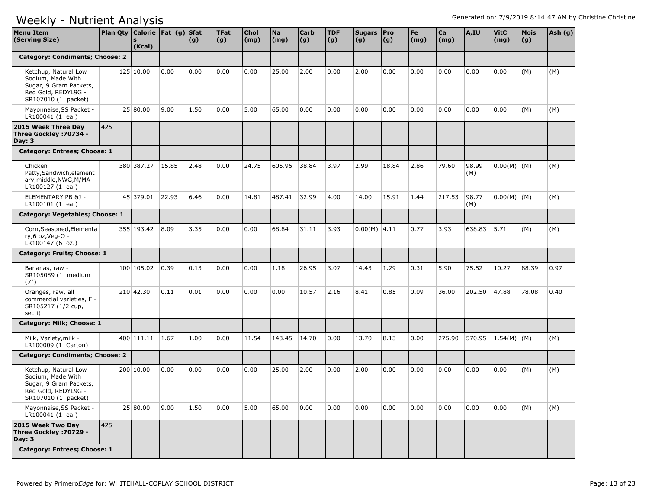| <b>Menu Item</b><br>(Serving Size)                                                                                | Plan Qty   Calorie   Fat (g)   Sfat | (Kcal)     |       | (g)  | <b>TFat</b><br> (g) | <b>Chol</b><br>$\mathsf{(mg)}$ | <b>Na</b><br>(mg) | <b>Carb</b><br> (g) | <b>TDF</b><br>(g) | Sugars Pro<br>(g) | (g)   | Fe<br>(mg) | Ca<br>(mg) | A,IU         | <b>VitC</b><br>(mg) | <b>Mois</b><br>(g) | Ash (g) |
|-------------------------------------------------------------------------------------------------------------------|-------------------------------------|------------|-------|------|---------------------|--------------------------------|-------------------|---------------------|-------------------|-------------------|-------|------------|------------|--------------|---------------------|--------------------|---------|
| <b>Category: Condiments; Choose: 2</b>                                                                            |                                     |            |       |      |                     |                                |                   |                     |                   |                   |       |            |            |              |                     |                    |         |
| Ketchup, Natural Low<br>Sodium, Made With<br>Sugar, 9 Gram Packets,<br>Red Gold, REDYL9G -<br>SR107010 (1 packet) |                                     | 125 10.00  | 0.00  | 0.00 | 0.00                | 0.00                           | 25.00             | 2.00                | 0.00              | 2.00              | 0.00  | 0.00       | 0.00       | 0.00         | 0.00                | (M)                | (M)     |
| Mayonnaise, SS Packet -<br>LR100041 (1 ea.)                                                                       |                                     | 25 80.00   | 9.00  | 1.50 | 0.00                | 5.00                           | 65.00             | 0.00                | 0.00              | 0.00              | 0.00  | 0.00       | 0.00       | 0.00         | 0.00                | (M)                | (M)     |
| 2015 Week Three Day<br>Three Gockley : 70734 -<br>Day: $3$                                                        | 425                                 |            |       |      |                     |                                |                   |                     |                   |                   |       |            |            |              |                     |                    |         |
| Category: Entrees; Choose: 1                                                                                      |                                     |            |       |      |                     |                                |                   |                     |                   |                   |       |            |            |              |                     |                    |         |
| Chicken<br>Patty, Sandwich, element<br>ary, middle, NWG, M/MA -<br>LR100127 (1 ea.)                               |                                     | 380 387.27 | 15.85 | 2.48 | 0.00                | 24.75                          | 605.96            | 38.84               | 3.97              | 2.99              | 18.84 | 2.86       | 79.60      | 98.99<br>(M) | $0.00(M)$ (M)       |                    | (M)     |
| ELEMENTARY PB &J -<br>LR100101 (1 ea.)                                                                            |                                     | 45 379.01  | 22.93 | 6.46 | 0.00                | 14.81                          | 487.41            | 32.99               | 4.00              | 14.00             | 15.91 | 1.44       | 217.53     | 98.77<br>(M) | $0.00(M)$ (M)       |                    | (M)     |
| Category: Vegetables; Choose: 1                                                                                   |                                     |            |       |      |                     |                                |                   |                     |                   |                   |       |            |            |              |                     |                    |         |
| Corn, Seasoned, Elementa<br>ry,6 oz, Veg-O -<br>LR100147 (6 oz.)                                                  |                                     | 355 193.42 | 8.09  | 3.35 | 0.00                | 0.00                           | 68.84             | 31.11               | 3.93              | $0.00(M)$ 4.11    |       | 0.77       | 3.93       | 638.83       | 5.71                | (M)                | (M)     |
| Category: Fruits; Choose: 1                                                                                       |                                     |            |       |      |                     |                                |                   |                     |                   |                   |       |            |            |              |                     |                    |         |
| Bananas, raw -<br>SR105089 (1 medium<br>(7")                                                                      |                                     | 100 105.02 | 0.39  | 0.13 | 0.00                | 0.00                           | 1.18              | 26.95               | 3.07              | 14.43             | 1.29  | 0.31       | 5.90       | 75.52        | 10.27               | 88.39              | 0.97    |
| Oranges, raw, all<br>commercial varieties, F -<br>SR105217 (1/2 cup,<br>secti)                                    |                                     | 210 42.30  | 0.11  | 0.01 | 0.00                | 0.00                           | 0.00              | 10.57               | 2.16              | 8.41              | 0.85  | 0.09       | 36.00      | 202.50       | 47.88               | 78.08              | 0.40    |
| Category: Milk; Choose: 1                                                                                         |                                     |            |       |      |                     |                                |                   |                     |                   |                   |       |            |            |              |                     |                    |         |
| Milk, Variety, milk -<br>LR100009 (1 Carton)                                                                      |                                     | 400 111.11 | 1.67  | 1.00 | 0.00                | 11.54                          | 143.45            | 14.70               | 0.00              | 13.70             | 8.13  | 0.00       | 275.90     | 570.95       | $1.54(M)$ (M)       |                    | (M)     |
| <b>Category: Condiments; Choose: 2</b>                                                                            |                                     |            |       |      |                     |                                |                   |                     |                   |                   |       |            |            |              |                     |                    |         |
| Ketchup, Natural Low<br>Sodium, Made With<br>Sugar, 9 Gram Packets,<br>Red Gold, REDYL9G -<br>SR107010 (1 packet) |                                     | 200 10.00  | 0.00  | 0.00 | 0.00                | 0.00                           | 25.00             | 2.00                | 0.00              | 2.00              | 0.00  | 0.00       | 0.00       | 0.00         | 0.00                | (M)                | (M)     |
| Mayonnaise, SS Packet -<br>LR100041 (1 ea.)                                                                       |                                     | 25 80.00   | 9.00  | 1.50 | 0.00                | 5.00                           | 65.00             | 0.00                | 0.00              | 0.00              | 0.00  | 0.00       | 0.00       | 0.00         | 0.00                | (M)                | (M)     |
| 2015 Week Two Day<br>Three Gockley : 70729 -<br>Day: $3$                                                          | 425                                 |            |       |      |                     |                                |                   |                     |                   |                   |       |            |            |              |                     |                    |         |
| Category: Entrees; Choose: 1                                                                                      |                                     |            |       |      |                     |                                |                   |                     |                   |                   |       |            |            |              |                     |                    |         |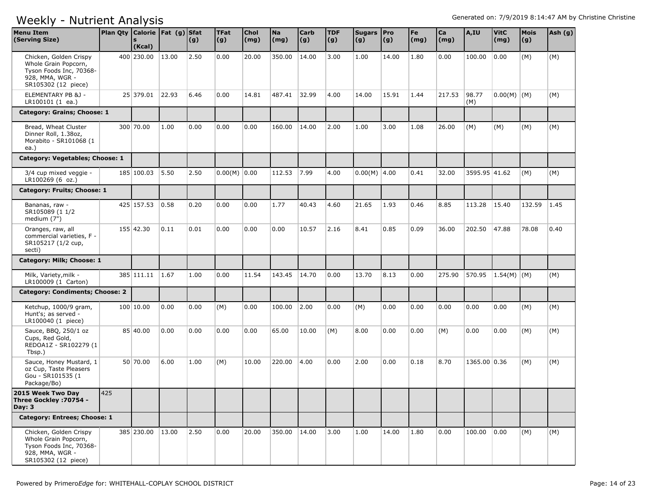| <b>Menu Item</b><br>(Serving Size)                                                                                  | Plan Qty Calorie   Fat (g) Sfat | (Kcal)     |       | (g)  | <b>TFat</b><br> (g) | Chol<br>(mg) | <b>Na</b><br>(mg) | <b>Carb</b><br>$\vert (g) \vert$ | <b>TDF</b><br>(g) | Sugars Pro<br>(g) | (g)   | Fe<br>(mg) | Ca<br>(mg) | A,IU          | <b>VitC</b><br>(mg) | Mois<br>(g) | Ash (g) |
|---------------------------------------------------------------------------------------------------------------------|---------------------------------|------------|-------|------|---------------------|--------------|-------------------|----------------------------------|-------------------|-------------------|-------|------------|------------|---------------|---------------------|-------------|---------|
| Chicken, Golden Crispy<br>Whole Grain Popcorn,<br>Tyson Foods Inc, 70368-<br>928, MMA, WGR -<br>SR105302 (12 piece) |                                 | 400 230.00 | 13.00 | 2.50 | 0.00                | 20.00        | 350.00            | 14.00                            | 3.00              | 1.00              | 14.00 | 1.80       | 0.00       | 100.00        | 0.00                | (M)         | (M)     |
| ELEMENTARY PB &J -<br>LR100101 (1 ea.)                                                                              |                                 | 25 379.01  | 22.93 | 6.46 | 0.00                | 14.81        | 487.41            | 32.99                            | 4.00              | 14.00             | 15.91 | 1.44       | 217.53     | 98.77<br>(M)  | $0.00(M)$ (M)       |             | (M)     |
| Category: Grains; Choose: 1                                                                                         |                                 |            |       |      |                     |              |                   |                                  |                   |                   |       |            |            |               |                     |             |         |
| Bread, Wheat Cluster<br>Dinner Roll, 1.38oz,<br>Morabito - SR101068 (1<br>ea.)                                      |                                 | 300 70.00  | 1.00  | 0.00 | 0.00                | 0.00         | 160.00            | 14.00                            | 2.00              | 1.00              | 3.00  | 1.08       | 26.00      | (M)           | (M)                 | (M)         | (M)     |
| Category: Vegetables; Choose: 1                                                                                     |                                 |            |       |      |                     |              |                   |                                  |                   |                   |       |            |            |               |                     |             |         |
| 3/4 cup mixed veggie -<br>LR100269 (6 oz.)                                                                          |                                 | 185 100.03 | 5.50  | 2.50 | $0.00(M)$ 0.00      |              | 112.53            | 7.99                             | 4.00              | $0.00(M)$ 4.00    |       | 0.41       | 32.00      | 3595.95 41.62 |                     | (M)         | (M)     |
| Category: Fruits; Choose: 1                                                                                         |                                 |            |       |      |                     |              |                   |                                  |                   |                   |       |            |            |               |                     |             |         |
| Bananas, raw -<br>SR105089 (1 1/2<br>medium (7")                                                                    |                                 | 425 157.53 | 0.58  | 0.20 | 0.00                | 0.00         | 1.77              | 40.43                            | 4.60              | 21.65             | 1.93  | 0.46       | 8.85       | 113.28        | 15.40               | 132.59      | 1.45    |
| Oranges, raw, all<br>commercial varieties, F -<br>SR105217 (1/2 cup,<br>secti)                                      |                                 | 155 42.30  | 0.11  | 0.01 | 0.00                | 0.00         | 0.00              | 10.57                            | 2.16              | 8.41              | 0.85  | 0.09       | 36.00      | 202.50        | 47.88               | 78.08       | 0.40    |
| Category: Milk; Choose: 1                                                                                           |                                 |            |       |      |                     |              |                   |                                  |                   |                   |       |            |            |               |                     |             |         |
| Milk, Variety, milk -<br>LR100009 (1 Carton)                                                                        |                                 | 385 111.11 | 1.67  | 1.00 | 0.00                | 11.54        | 143.45            | 14.70                            | 0.00              | 13.70             | 8.13  | 0.00       | 275.90     | 570.95        | $1.54(M)$ (M)       |             | (M)     |
| <b>Category: Condiments; Choose: 2</b>                                                                              |                                 |            |       |      |                     |              |                   |                                  |                   |                   |       |            |            |               |                     |             |         |
| Ketchup, 1000/9 gram,<br>Hunt's; as served -<br>LR100040 (1 piece)                                                  |                                 | 100 10.00  | 0.00  | 0.00 | (M)                 | 0.00         | 100.00            | 2.00                             | 0.00              | (M)               | 0.00  | 0.00       | 0.00       | 0.00          | 0.00                | (M)         | (M)     |
| Sauce, BBQ, 250/1 oz<br>Cups, Red Gold,<br>REDOA1Z - SR102279 (1)<br>Tbsp.)                                         |                                 | 85 40.00   | 0.00  | 0.00 | 0.00                | 0.00         | 65.00             | 10.00                            | (M)               | 8.00              | 0.00  | 0.00       | (M)        | 0.00          | 0.00                | (M)         | (M)     |
| Sauce, Honey Mustard, 1<br>oz Cup, Taste Pleasers<br>Gou - SR101535 (1<br>Package/Bo)                               |                                 | 50 70.00   | 6.00  | 1.00 | (M)                 | 10.00        | 220.00            | 4.00                             | 0.00              | 2.00              | 0.00  | 0.18       | 8.70       | 1365.00 0.36  |                     | (M)         | (M)     |
| 2015 Week Two Day<br>Three Gockley : 70754 -<br>Day: 3                                                              | 425                             |            |       |      |                     |              |                   |                                  |                   |                   |       |            |            |               |                     |             |         |
| Category: Entrees; Choose: 1                                                                                        |                                 |            |       |      |                     |              |                   |                                  |                   |                   |       |            |            |               |                     |             |         |
| Chicken, Golden Crispy<br>Whole Grain Popcorn,<br>Tyson Foods Inc, 70368-<br>928, MMA, WGR -<br>SR105302 (12 piece) |                                 | 385 230.00 | 13.00 | 2.50 | 0.00                | 20.00        | 350.00 14.00      |                                  | 3.00              | 1.00              | 14.00 | 1.80       | 0.00       | 100.00        | 0.00                | (M)         | (M)     |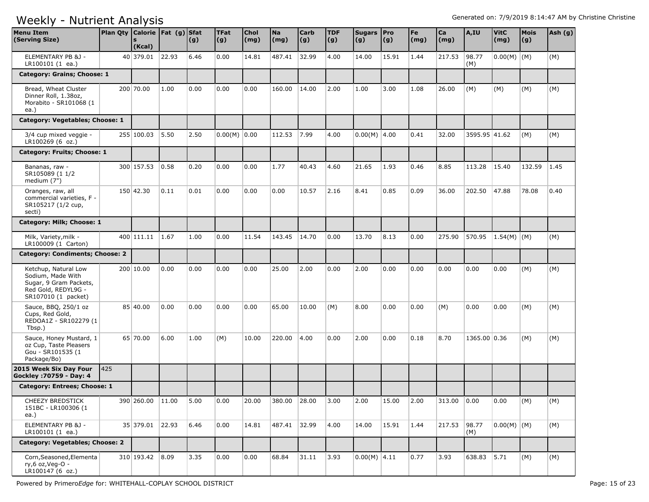| <b>Menu Item</b><br>(Serving Size)                                                                                | Plan Qty Calorie   Fat (g) Sfat | (Kcal)          |       | (g)  | <b>TFat</b><br> (g) | <b>Chol</b><br>(mg) | <b>Na</b><br>(mg) | <b>Carb</b><br> (g) | <b>TDF</b><br>(g) | Sugars Pro<br>(g) | (g)   | Fe<br>$\mathsf{(mg)}$ | Ca<br>(mg) | A,IU          | <b>VitC</b><br>(mg) | <b>Mois</b><br>(g) | Ash (g) |
|-------------------------------------------------------------------------------------------------------------------|---------------------------------|-----------------|-------|------|---------------------|---------------------|-------------------|---------------------|-------------------|-------------------|-------|-----------------------|------------|---------------|---------------------|--------------------|---------|
| ELEMENTARY PB &J -<br>LR100101 (1 ea.)                                                                            |                                 | 40 379.01       | 22.93 | 6.46 | 0.00                | 14.81               | 487.41            | 32.99               | 4.00              | 14.00             | 15.91 | 1.44                  | 217.53     | 98.77<br>(M)  | $0.00(M)$ (M)       |                    | (M)     |
| Category: Grains; Choose: 1                                                                                       |                                 |                 |       |      |                     |                     |                   |                     |                   |                   |       |                       |            |               |                     |                    |         |
| Bread, Wheat Cluster<br>Dinner Roll, 1.38oz,<br>Morabito - SR101068 (1<br>ea.)                                    |                                 | 200 70.00       | 1.00  | 0.00 | 0.00                | 0.00                | 160.00            | 14.00               | 2.00              | 1.00              | 3.00  | 1.08                  | 26.00      | (M)           | (M)                 | (M)                | (M)     |
| Category: Vegetables; Choose: 1                                                                                   |                                 |                 |       |      |                     |                     |                   |                     |                   |                   |       |                       |            |               |                     |                    |         |
| 3/4 cup mixed veggie -<br>LR100269 (6 oz.)                                                                        |                                 | 255 100.03      | 5.50  | 2.50 | $0.00(M)$ 0.00      |                     | 112.53            | 7.99                | 4.00              | $0.00(M)$ 4.00    |       | 0.41                  | 32.00      | 3595.95 41.62 |                     | (M)                | (M)     |
| Category: Fruits; Choose: 1                                                                                       |                                 |                 |       |      |                     |                     |                   |                     |                   |                   |       |                       |            |               |                     |                    |         |
| Bananas, raw -<br>SR105089 (1 1/2<br>medium (7")                                                                  |                                 | 300 157.53      | 0.58  | 0.20 | 0.00                | 0.00                | 1.77              | 40.43               | 4.60              | 21.65             | 1.93  | 0.46                  | 8.85       | 113.28        | 15.40               | 132.59             | 1.45    |
| Oranges, raw, all<br>commercial varieties, F -<br>SR105217 (1/2 cup,<br>secti)                                    |                                 | 150 42.30       | 0.11  | 0.01 | 0.00                | 0.00                | 0.00              | 10.57               | 2.16              | 8.41              | 0.85  | 0.09                  | 36.00      | 202.50        | 47.88               | 78.08              | 0.40    |
| Category: Milk; Choose: 1                                                                                         |                                 |                 |       |      |                     |                     |                   |                     |                   |                   |       |                       |            |               |                     |                    |         |
| Milk, Variety, milk -<br>LR100009 (1 Carton)                                                                      |                                 | 400 111.11      | 1.67  | 1.00 | 0.00                | 11.54               | 143.45            | 14.70               | 0.00              | 13.70             | 8.13  | 0.00                  | 275.90     | 570.95        | $1.54(M)$ (M)       |                    | (M)     |
| Category: Condiments; Choose: 2                                                                                   |                                 |                 |       |      |                     |                     |                   |                     |                   |                   |       |                       |            |               |                     |                    |         |
| Ketchup, Natural Low<br>Sodium, Made With<br>Sugar, 9 Gram Packets,<br>Red Gold, REDYL9G -<br>SR107010 (1 packet) |                                 | 200 10.00       | 0.00  | 0.00 | 0.00                | 0.00                | 25.00             | 2.00                | 0.00              | 2.00              | 0.00  | 0.00                  | 0.00       | 0.00          | 0.00                | (M)                | (M)     |
| Sauce, BBQ, 250/1 oz<br>Cups, Red Gold,<br>REDOA1Z - SR102279 (1<br>Tbsp.)                                        |                                 | 85 40.00        | 0.00  | 0.00 | 0.00                | 0.00                | 65.00             | 10.00               | (M)               | 8.00              | 0.00  | 0.00                  | (M)        | 0.00          | 0.00                | (M)                | (M)     |
| Sauce, Honey Mustard, 1<br>oz Cup, Taste Pleasers<br>Gou - SR101535 (1<br>Package/Bo)                             |                                 | 65 70.00        | 6.00  | 1.00 | (M)                 | 10.00               | 220.00            | 4.00                | 0.00              | 2.00              | 0.00  | 0.18                  | 8.70       | 1365.00 0.36  |                     | (M)                | (M)     |
| 2015 Week Six Day Four<br>Gockley : 70759 - Day: 4                                                                | 425                             |                 |       |      |                     |                     |                   |                     |                   |                   |       |                       |            |               |                     |                    |         |
| Category: Entrees; Choose: 1                                                                                      |                                 |                 |       |      |                     |                     |                   |                     |                   |                   |       |                       |            |               |                     |                    |         |
| <b>CHEEZY BREDSTICK</b><br>151BC - LR100306 (1<br>ea.)                                                            |                                 | 390 260.00      | 11.00 | 5.00 | 0.00                | 20.00               | 380.00            | 28.00               | 3.00              | 2.00              | 15.00 | 2.00                  | 313.00     | 0.00          | 0.00                | (M)                | (M)     |
| ELEMENTARY PB &J -<br>LR100101 (1 ea.)                                                                            |                                 | 35 379.01 22.93 |       | 6.46 | 0.00                | 14.81               | 487.41            | 32.99               | 4.00              | 14.00             | 15.91 | 1.44                  | 217.53     | 98.77<br>(M)  | $0.00(M)$ (M)       |                    | (M)     |
| Category: Vegetables; Choose: 2                                                                                   |                                 |                 |       |      |                     |                     |                   |                     |                   |                   |       |                       |            |               |                     |                    |         |
| Corn, Seasoned, Elementa<br>ry,6 oz,Veg-O -<br>LR100147 (6 oz.)                                                   |                                 | 310 193.42 8.09 |       | 3.35 | 0.00                | 0.00                | 68.84             | 31.11               | 3.93              | $0.00(M)$ 4.11    |       | 0.77                  | 3.93       | 638.83        | 5.71                | (M)                | (M)     |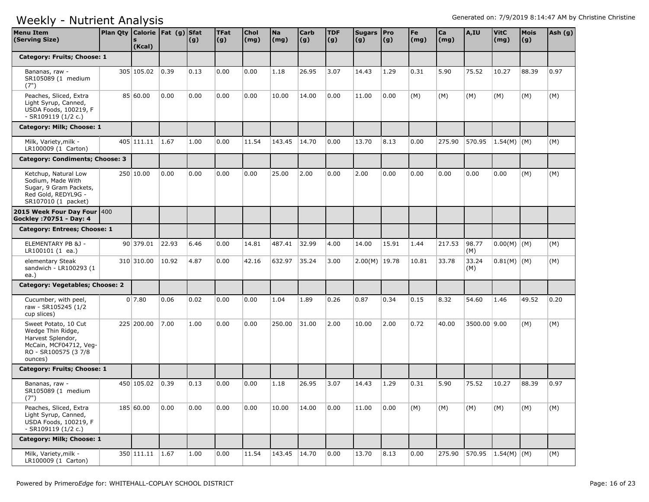| <b>Menu Item</b><br>(Serving Size)                                                                                          | Plan Qty   Calorie   Fat (g)   Sfat | (Kcal)     |       | (g)  | <b>TFat</b><br>(g) | Chol<br>(mg) | <b>Na</b><br>(mg) | <b>Carb</b><br>(g) | <b>TDF</b><br>(g) | Sugars Pro<br>(g) | $\vert$ (g) | Fe<br>(mg) | Ca<br>(mg) | A,IU         | <b>VitC</b><br>(mg) | <b>Mois</b><br>(g) | Ash (g) |
|-----------------------------------------------------------------------------------------------------------------------------|-------------------------------------|------------|-------|------|--------------------|--------------|-------------------|--------------------|-------------------|-------------------|-------------|------------|------------|--------------|---------------------|--------------------|---------|
| Category: Fruits; Choose: 1                                                                                                 |                                     |            |       |      |                    |              |                   |                    |                   |                   |             |            |            |              |                     |                    |         |
| Bananas, raw -<br>SR105089 (1 medium<br>(7")                                                                                |                                     | 305 105.02 | 0.39  | 0.13 | 0.00               | 0.00         | 1.18              | 26.95              | 3.07              | 14.43             | 1.29        | 0.31       | 5.90       | 75.52        | 10.27               | 88.39              | 0.97    |
| Peaches, Sliced, Extra<br>Light Syrup, Canned,<br>USDA Foods, 100219, F<br>- SR109119 (1/2 c.)                              |                                     | 85 60.00   | 0.00  | 0.00 | 0.00               | 0.00         | 10.00             | 14.00              | 0.00              | 11.00             | 0.00        | (M)        | (M)        | (M)          | (M)                 | (M)                | (M)     |
| Category: Milk; Choose: 1                                                                                                   |                                     |            |       |      |                    |              |                   |                    |                   |                   |             |            |            |              |                     |                    |         |
| Milk, Variety, milk -<br>LR100009 (1 Carton)                                                                                |                                     | 405 111.11 | 1.67  | 1.00 | 0.00               | 11.54        | 143.45            | 14.70              | 0.00              | 13.70             | 8.13        | 0.00       | 275.90     | 570.95       | $ 1.54(M) $ (M)     |                    | (M)     |
| Category: Condiments; Choose: 3                                                                                             |                                     |            |       |      |                    |              |                   |                    |                   |                   |             |            |            |              |                     |                    |         |
| Ketchup, Natural Low<br>Sodium, Made With<br>Sugar, 9 Gram Packets,<br>Red Gold, REDYL9G -<br>SR107010 (1 packet)           |                                     | 250 10.00  | 0.00  | 0.00 | 0.00               | 0.00         | 25.00             | 2.00               | 0.00              | 2.00              | 0.00        | 0.00       | 0.00       | 0.00         | 0.00                | (M)                | (M)     |
| 2015 Week Four Day Four 400<br>Gockley: 70751 - Day: 4                                                                      |                                     |            |       |      |                    |              |                   |                    |                   |                   |             |            |            |              |                     |                    |         |
| Category: Entrees; Choose: 1                                                                                                |                                     |            |       |      |                    |              |                   |                    |                   |                   |             |            |            |              |                     |                    |         |
| ELEMENTARY PB &J -<br>LR100101 (1 ea.)                                                                                      |                                     | 90 379.01  | 22.93 | 6.46 | 0.00               | 14.81        | 487.41            | 32.99              | 4.00              | 14.00             | 15.91       | 1.44       | 217.53     | 98.77<br>(M) | $0.00(M)$ (M)       |                    | (M)     |
| elementary Steak<br>sandwich - LR100293 (1<br>ea.)                                                                          |                                     | 310 310.00 | 10.92 | 4.87 | 0.00               | 42.16        | 632.97            | 35.24              | 3.00              | $2.00(M)$ 19.78   |             | 10.81      | 33.78      | 33.24<br>(M) | $0.81(M)$ (M)       |                    | (M)     |
| Category: Vegetables; Choose: 2                                                                                             |                                     |            |       |      |                    |              |                   |                    |                   |                   |             |            |            |              |                     |                    |         |
| Cucumber, with peel,<br>raw - SR105245 (1/2<br>cup slices)                                                                  |                                     | 0 7.80     | 0.06  | 0.02 | 0.00               | 0.00         | 1.04              | 1.89               | 0.26              | 0.87              | 0.34        | 0.15       | 8.32       | 54.60        | 1.46                | 49.52              | 0.20    |
| Sweet Potato, 10 Cut<br>Wedge Thin Ridge,<br>Harvest Splendor,<br>McCain, MCF04712, Veg-<br>RO - SR100575 (37/8)<br>ounces) |                                     | 225 200.00 | 7.00  | 1.00 | 0.00               | 0.00         | 250.00            | 31.00              | 2.00              | 10.00             | 2.00        | 0.72       | 40.00      | 3500.00 9.00 |                     | (M)                | (M)     |
| Category: Fruits; Choose: 1                                                                                                 |                                     |            |       |      |                    |              |                   |                    |                   |                   |             |            |            |              |                     |                    |         |
| Bananas, raw -<br>SR105089 (1 medium<br>(7")                                                                                |                                     | 450 105.02 | 0.39  | 0.13 | 0.00               | 0.00         | 1.18              | 26.95              | 3.07              | 14.43             | 1.29        | 0.31       | 5.90       | 75.52        | 10.27               | 88.39              | 0.97    |
| Peaches, Sliced, Extra<br>Light Syrup, Canned,<br>USDA Foods, 100219, F<br>- SR109119 (1/2 c.)                              |                                     | 185 60.00  | 0.00  | 0.00 | 0.00               | 0.00         | 10.00             | 14.00              | 0.00              | 11.00             | 0.00        | (M)        | (M)        | (M)          | (M)                 | (M)                | (M)     |
| Category: Milk; Choose: 1                                                                                                   |                                     |            |       |      |                    |              |                   |                    |                   |                   |             |            |            |              |                     |                    |         |
| Milk, Variety, milk -<br>LR100009 (1 Carton)                                                                                |                                     | 350 111.11 | 1.67  | 1.00 | 0.00               | 11.54        | 143.45 14.70      |                    | 0.00              | 13.70             | 8.13        | 0.00       | 275.90     |              | 570.95 1.54(M) (M)  |                    | (M)     |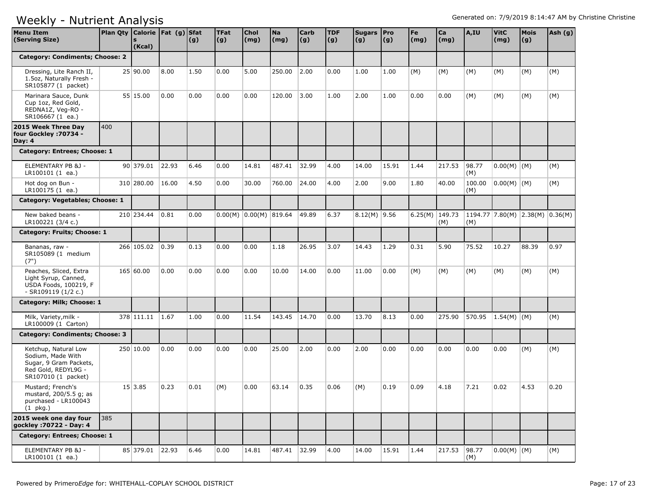| <b>Menu Item</b><br>(Serving Size)                                                                                | Plan Qty   Calorie   Fat (g)   Sfat | (Kcal)          |       | (g)  | <b>TFat</b><br>(g) | <b>Chol</b><br>(mg)      | <b>Na</b><br>(mg) | <b>Carb</b><br>(g) | <b>TDF</b><br>(g) | Sugars Pro<br>(g) | $\vert$ (g) | Fe<br>(mg)       | Ca<br>(mg)   | A,IU          | <b>VitC</b><br>(mg)               | <b>Mois</b><br>(g) | Ash (g) |
|-------------------------------------------------------------------------------------------------------------------|-------------------------------------|-----------------|-------|------|--------------------|--------------------------|-------------------|--------------------|-------------------|-------------------|-------------|------------------|--------------|---------------|-----------------------------------|--------------------|---------|
| Category: Condiments; Choose: 2                                                                                   |                                     |                 |       |      |                    |                          |                   |                    |                   |                   |             |                  |              |               |                                   |                    |         |
| Dressing, Lite Ranch II,<br>1.5oz, Naturally Fresh -<br>SR105877 (1 packet)                                       |                                     | 25 90.00        | 8.00  | 1.50 | 0.00               | 5.00                     | 250.00            | 2.00               | 0.00              | 1.00              | 1.00        | (M)              | (M)          | (M)           | (M)                               | (M)                | (M)     |
| Marinara Sauce, Dunk<br>Cup 1oz, Red Gold,<br>REDNA1Z, Veg-RO -<br>SR106667 (1 ea.)                               |                                     | 55 15.00        | 0.00  | 0.00 | 0.00               | 0.00                     | 120.00            | 3.00               | 1.00              | 2.00              | 1.00        | 0.00             | 0.00         | (M)           | (M)                               | (M)                | (M)     |
| 2015 Week Three Day<br>four Gockley : 70734 -<br>Day: 4                                                           | 400                                 |                 |       |      |                    |                          |                   |                    |                   |                   |             |                  |              |               |                                   |                    |         |
| Category: Entrees; Choose: 1                                                                                      |                                     |                 |       |      |                    |                          |                   |                    |                   |                   |             |                  |              |               |                                   |                    |         |
| ELEMENTARY PB &J -<br>LR100101 (1 ea.)                                                                            |                                     | 90 379.01       | 22.93 | 6.46 | 0.00               | 14.81                    | 487.41            | 32.99              | 4.00              | 14.00             | 15.91       | 1.44             | 217.53       | 98.77<br>(M)  | $0.00(M)$ (M)                     |                    | (M)     |
| Hot dog on Bun -<br>LR100175 (1 ea.)                                                                              |                                     | 310 280.00      | 16.00 | 4.50 | 0.00               | 30.00                    | 760.00            | 24.00              | 4.00              | 2.00              | 9.00        | 1.80             | 40.00        | 100.00<br>(M) | 0.00(M) (M)                       |                    | (M)     |
| Category: Vegetables; Choose: 1                                                                                   |                                     |                 |       |      |                    |                          |                   |                    |                   |                   |             |                  |              |               |                                   |                    |         |
| New baked beans -<br>LR100221 (3/4 c.)                                                                            |                                     | 210 234.44      | 0.81  | 0.00 |                    | $0.00(M)$ 0.00(M) 819.64 |                   | 49.89              | 6.37              | $8.12(M)$ 9.56    |             | 6.25(M) $149.73$ | (M)          | (M)           | $1194.77$ 7.80(M) 2.38(M) 0.36(M) |                    |         |
| Category: Fruits; Choose: 1                                                                                       |                                     |                 |       |      |                    |                          |                   |                    |                   |                   |             |                  |              |               |                                   |                    |         |
| Bananas, raw -<br>SR105089 (1 medium<br>(7")                                                                      |                                     | 266 105.02      | 0.39  | 0.13 | 0.00               | 0.00                     | 1.18              | 26.95              | 3.07              | 14.43             | 1.29        | 0.31             | 5.90         | 75.52         | 10.27                             | 88.39              | 0.97    |
| Peaches, Sliced, Extra<br>Light Syrup, Canned,<br>USDA Foods, 100219, F<br>- SR109119 (1/2 c.)                    |                                     | 165 60.00       | 0.00  | 0.00 | 0.00               | 0.00                     | 10.00             | 14.00              | 0.00              | 11.00             | 0.00        | (M)              | (M)          | (M)           | (M)                               | (M)                | (M)     |
| Category: Milk; Choose: 1                                                                                         |                                     |                 |       |      |                    |                          |                   |                    |                   |                   |             |                  |              |               |                                   |                    |         |
| Milk, Variety, milk -<br>LR100009 (1 Carton)                                                                      |                                     | 378 111.11 1.67 |       | 1.00 | 0.00               | 11.54                    | 143.45            | 14.70              | 0.00              | 13.70             | 8.13        | 0.00             | 275.90       | 570.95        | $ 1.54(M) $ (M)                   |                    | (M)     |
| Category: Condiments; Choose: 3                                                                                   |                                     |                 |       |      |                    |                          |                   |                    |                   |                   |             |                  |              |               |                                   |                    |         |
| Ketchup, Natural Low<br>Sodium, Made With<br>Sugar, 9 Gram Packets,<br>Red Gold, REDYL9G -<br>SR107010 (1 packet) |                                     | 250 10.00       | 0.00  | 0.00 | 0.00               | 0.00                     | 25.00             | 2.00               | 0.00              | 2.00              | 0.00        | 0.00             | 0.00         | 0.00          | 0.00                              | (M)                | (M)     |
| Mustard; French's<br>mustard, 200/5.5 g; as<br>purchased - LR100043<br>$(1$ pkg.)                                 |                                     | 15 3.85         | 0.23  | 0.01 | (M)                | 0.00                     | 63.14             | 0.35               | 0.06              | (M)               | 0.19        | 0.09             | 4.18         | 7.21          | 0.02                              | 4.53               | 0.20    |
| 2015 week one day four<br>gockley : 70722 - Day: 4                                                                | 385                                 |                 |       |      |                    |                          |                   |                    |                   |                   |             |                  |              |               |                                   |                    |         |
| Category: Entrees; Choose: 1                                                                                      |                                     |                 |       |      |                    |                          |                   |                    |                   |                   |             |                  |              |               |                                   |                    |         |
| ELEMENTARY PB &J -<br>LR100101 (1 ea.)                                                                            |                                     | 85 379.01 22.93 |       | 6.46 | 0.00               | 14.81                    | 487.41 32.99      |                    | 4.00              | 14.00             | 15.91       | 1.44             | 217.53 98.77 | (M)           | $0.00(M)$ (M)                     |                    | (M)     |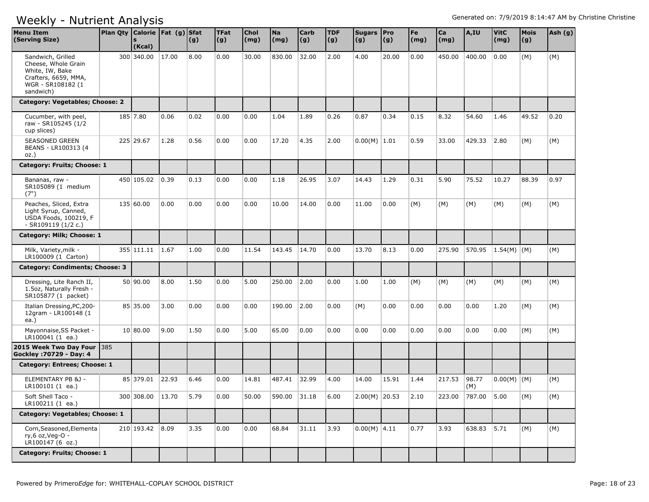| <b>Menu Item</b><br>(Serving Size)                                                                                    | Plan Qty Calorie   Fat (g) Sfat | (Kcal)           |       | (g)  | <b>TFat</b><br>(g) | <b>Chol</b><br>(mg) | <b>Na</b><br>(mg) | <b>Carb</b><br>(g) | <b>TDF</b><br>(g) | Sugars   Pro<br>(g) | (g)   | Fe<br>$\mathsf{(mg)}$ | Ca<br>(mg) | A,IU         | <b>VitC</b><br>(mg) | Mois<br>(g) | Ash (g) |
|-----------------------------------------------------------------------------------------------------------------------|---------------------------------|------------------|-------|------|--------------------|---------------------|-------------------|--------------------|-------------------|---------------------|-------|-----------------------|------------|--------------|---------------------|-------------|---------|
| Sandwich, Grilled<br>Cheese, Whole Grain<br>White, IW, Bake<br>Crafters, 6659, MMA,<br>WGR - SR108182 (1<br>sandwich) |                                 | 300 340.00       | 17.00 | 8.00 | 0.00               | 30.00               | 830.00            | 32.00              | 2.00              | 4.00                | 20.00 | 0.00                  | 450.00     | 400.00       | 0.00                | (M)         | (M)     |
| Category: Vegetables; Choose: 2                                                                                       |                                 |                  |       |      |                    |                     |                   |                    |                   |                     |       |                       |            |              |                     |             |         |
| Cucumber, with peel,<br>raw - SR105245 (1/2<br>cup slices)                                                            |                                 | 185 7.80         | 0.06  | 0.02 | 0.00               | 0.00                | 1.04              | 1.89               | 0.26              | 0.87                | 0.34  | 0.15                  | 8.32       | 54.60        | 1.46                | 49.52       | 0.20    |
| SEASONED GREEN<br>BEANS - LR100313 (4<br>$OZ.$ )                                                                      |                                 | 225 29.67        | 1.28  | 0.56 | 0.00               | 0.00                | 17.20             | 4.35               | 2.00              | $0.00(M)$ 1.01      |       | 0.59                  | 33.00      | 429.33       | 2.80                | (M)         | (M)     |
| Category: Fruits; Choose: 1                                                                                           |                                 |                  |       |      |                    |                     |                   |                    |                   |                     |       |                       |            |              |                     |             |         |
| Bananas, raw -<br>SR105089 (1 medium<br>(7")                                                                          |                                 | 450 105.02       | 0.39  | 0.13 | 0.00               | 0.00                | 1.18              | 26.95              | 3.07              | 14.43               | 1.29  | 0.31                  | 5.90       | 75.52        | 10.27               | 88.39       | 0.97    |
| Peaches, Sliced, Extra<br>Light Syrup, Canned,<br>USDA Foods, 100219, F<br>- SR109119 (1/2 c.)                        |                                 | 135 60.00        | 0.00  | 0.00 | 0.00               | 0.00                | 10.00             | 14.00              | 0.00              | 11.00               | 0.00  | (M)                   | (M)        | (M)          | (M)                 | (M)         | (M)     |
| Category: Milk; Choose: 1                                                                                             |                                 |                  |       |      |                    |                     |                   |                    |                   |                     |       |                       |            |              |                     |             |         |
| Milk, Variety, milk -<br>LR100009 (1 Carton)                                                                          |                                 | 355 111.11       | 1.67  | 1.00 | 0.00               | 11.54               | 143.45            | 14.70              | 0.00              | 13.70               | 8.13  | 0.00                  | 275.90     | 570.95       | $1.54(M)$ (M)       |             | (M)     |
| Category: Condiments; Choose: 3                                                                                       |                                 |                  |       |      |                    |                     |                   |                    |                   |                     |       |                       |            |              |                     |             |         |
| Dressing, Lite Ranch II,<br>1.5oz, Naturally Fresh -<br>SR105877 (1 packet)                                           |                                 | 50 90.00         | 8.00  | 1.50 | 0.00               | 5.00                | 250.00            | 2.00               | 0.00              | 1.00                | 1.00  | (M)                   | (M)        | (M)          | (M)                 | (M)         | (M)     |
| Italian Dressing, PC, 200-<br>12gram - LR100148 (1<br>ea.)                                                            |                                 | 85 35.00         | 3.00  | 0.00 | 0.00               | 0.00                | 190.00            | 2.00               | 0.00              | (M)                 | 0.00  | 0.00                  | 0.00       | 0.00         | 1.20                | (M)         | (M)     |
| Mayonnaise, SS Packet -<br>LR100041 (1 ea.)                                                                           |                                 | 10 80.00         | 9.00  | 1.50 | 0.00               | 5.00                | 65.00             | 0.00               | 0.00              | 0.00                | 0.00  | 0.00                  | 0.00       | 0.00         | 0.00                | (M)         | (M)     |
| 2015 Week Two Day Four   385<br>Gockley : 70729 - Day: 4                                                              |                                 |                  |       |      |                    |                     |                   |                    |                   |                     |       |                       |            |              |                     |             |         |
| Category: Entrees; Choose: 1                                                                                          |                                 |                  |       |      |                    |                     |                   |                    |                   |                     |       |                       |            |              |                     |             |         |
| ELEMENTARY PB &J -<br>LR100101 (1 ea.)                                                                                |                                 | 85 379.01        | 22.93 | 6.46 | 0.00               | 14.81               | 487.41            | 32.99              | 4.00              | 14.00               | 15.91 | 1.44                  | 217.53     | 98.77<br>(M) | $0.00(M)$ (M)       |             | (M)     |
| Soft Shell Taco -<br>LR100211 (1 ea.)                                                                                 |                                 | 300 308.00 13.70 |       | 5.79 | 0.00               | 50.00               | 590.00 31.18      |                    | 6.00              | $2.00(M)$ 20.53     |       | 2.10                  | 223.00     | 787.00 5.00  |                     | (M)         | (M)     |
| Category: Vegetables; Choose: 1                                                                                       |                                 |                  |       |      |                    |                     |                   |                    |                   |                     |       |                       |            |              |                     |             |         |
| Corn, Seasoned, Elementa<br>ry,6 oz, Veg-O -<br>LR100147 (6 oz.)                                                      |                                 | 210 193.42 8.09  |       | 3.35 | 0.00               | 0.00                | 68.84             | 31.11              | 3.93              | $0.00(M)$ 4.11      |       | 0.77                  | 3.93       | 638.83 5.71  |                     | (M)         | (M)     |
| Category: Fruits; Choose: 1                                                                                           |                                 |                  |       |      |                    |                     |                   |                    |                   |                     |       |                       |            |              |                     |             |         |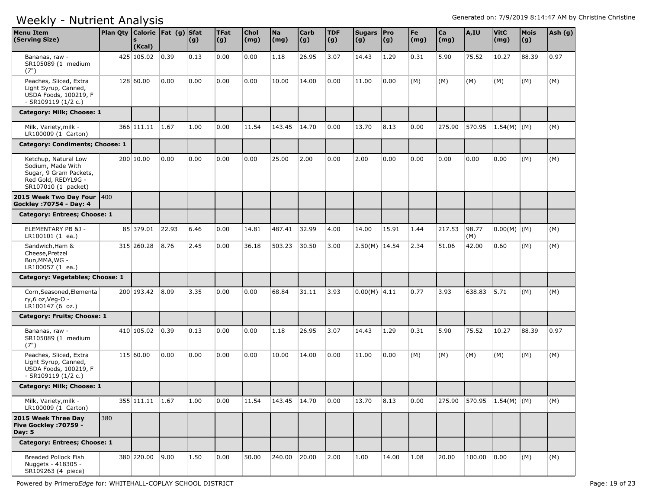| <b>Menu Item</b><br>(Serving Size)                                                                                | Plan Qty   Calorie   Fat (g)   Sfat | (Kcal)          |       | (g)  | <b>TFat</b><br>(g) | Chol<br>(mg) | <b>Na</b><br>(mg) | <b>Carb</b><br>(g) | <b>TDF</b><br>(g) | Sugars   Pro<br>(g) | $\vert (g) \vert$ | Fe<br>$\mathsf{(mg)}$ | $ca$<br>(mg) | A,IU         | <b>VitC</b><br>(mg)       | <b>Mois</b><br>(g) | Ash (g) |
|-------------------------------------------------------------------------------------------------------------------|-------------------------------------|-----------------|-------|------|--------------------|--------------|-------------------|--------------------|-------------------|---------------------|-------------------|-----------------------|--------------|--------------|---------------------------|--------------------|---------|
| Bananas, raw -<br>SR105089 (1 medium<br>(7")                                                                      |                                     | 425 105.02      | 0.39  | 0.13 | 0.00               | 0.00         | 1.18              | 26.95              | 3.07              | 14.43               | 1.29              | 0.31                  | 5.90         | 75.52        | 10.27                     | 88.39              | 0.97    |
| Peaches, Sliced, Extra<br>Light Syrup, Canned,<br>USDA Foods, 100219, F<br>- SR109119 (1/2 c.)                    |                                     | 128 60.00       | 0.00  | 0.00 | 0.00               | 0.00         | 10.00             | 14.00              | 0.00              | 11.00               | 0.00              | (M)                   | (M)          | (M)          | (M)                       | (M)                | (M)     |
| Category: Milk; Choose: 1                                                                                         |                                     |                 |       |      |                    |              |                   |                    |                   |                     |                   |                       |              |              |                           |                    |         |
| Milk, Variety, milk -<br>LR100009 (1 Carton)                                                                      |                                     | 366 111.11      | 1.67  | 1.00 | 0.00               | 11.54        | 143.45            | 14.70              | 0.00              | 13.70               | 8.13              | 0.00                  | 275.90       | 570.95       | $ 1.54(M)$ (M)            |                    | (M)     |
| Category: Condiments; Choose: 1                                                                                   |                                     |                 |       |      |                    |              |                   |                    |                   |                     |                   |                       |              |              |                           |                    |         |
| Ketchup, Natural Low<br>Sodium, Made With<br>Sugar, 9 Gram Packets,<br>Red Gold, REDYL9G -<br>SR107010 (1 packet) |                                     | 200 10.00       | 0.00  | 0.00 | 0.00               | 0.00         | 25.00             | 2.00               | 0.00              | 2.00                | 0.00              | 0.00                  | 0.00         | 0.00         | 0.00                      | (M)                | (M)     |
| 2015 Week Two Day Four 400<br>Gockley : 70754 - Day: 4                                                            |                                     |                 |       |      |                    |              |                   |                    |                   |                     |                   |                       |              |              |                           |                    |         |
| Category: Entrees; Choose: 1                                                                                      |                                     |                 |       |      |                    |              |                   |                    |                   |                     |                   |                       |              |              |                           |                    |         |
| ELEMENTARY PB &J -<br>LR100101 (1 ea.)                                                                            |                                     | 85 379.01       | 22.93 | 6.46 | 0.00               | 14.81        | 487.41            | 32.99              | 4.00              | 14.00               | 15.91             | 1.44                  | 217.53       | 98.77<br>(M) | $0.00(M)$ (M)             |                    | (M)     |
| Sandwich, Ham &<br>Cheese, Pretzel<br>Bun, MMA, WG -<br>LR100057 (1 ea.)                                          |                                     | 315 260.28      | 8.76  | 2.45 | 0.00               | 36.18        | 503.23            | 30.50              | 3.00              | $2.50(M)$ 14.54     |                   | 2.34                  | 51.06        | 42.00        | 0.60                      | (M)                | (M)     |
| Category: Vegetables; Choose: 1                                                                                   |                                     |                 |       |      |                    |              |                   |                    |                   |                     |                   |                       |              |              |                           |                    |         |
| Corn, Seasoned, Elementa<br>ry,6 oz, Veg-O -<br>LR100147 (6 oz.)                                                  |                                     | 200 193.42      | 8.09  | 3.35 | 0.00               | 0.00         | 68.84             | 31.11              | 3.93              | $0.00(M)$ 4.11      |                   | 0.77                  | 3.93         | 638.83       | 5.71                      | (M)                | (M)     |
| Category: Fruits; Choose: 1                                                                                       |                                     |                 |       |      |                    |              |                   |                    |                   |                     |                   |                       |              |              |                           |                    |         |
| Bananas, raw -<br>SR105089 (1 medium<br>(7")                                                                      |                                     | 410 105.02      | 0.39  | 0.13 | 0.00               | 0.00         | 1.18              | 26.95              | 3.07              | 14.43               | 1.29              | 0.31                  | 5.90         | 75.52        | 10.27                     | 88.39              | 0.97    |
| Peaches, Sliced, Extra<br>Light Syrup, Canned,<br>USDA Foods, 100219, F<br>$-SR109119(1/2 c.)$                    |                                     | 115 60.00       | 0.00  | 0.00 | 0.00               | 0.00         | 10.00             | 14.00              | 0.00              | 11.00               | 0.00              | (M)                   | (M)          | (M)          | (M)                       | (M)                | (M)     |
| Category: Milk; Choose: 1                                                                                         |                                     |                 |       |      |                    |              |                   |                    |                   |                     |                   |                       |              |              |                           |                    |         |
| Milk, Variety, milk -<br>LR100009 (1 Carton)                                                                      |                                     | 355 111.11 1.67 |       | 1.00 | 0.00               | 11.54        | 143.45 14.70      |                    | 0.00              | 13.70               | 8.13              | 0.00                  |              |              | 275.90 570.95 1.54(M) (M) |                    | (M)     |
| 2015 Week Three Day<br>Five Gockley : 70759 -<br>Day: $5$                                                         | 380                                 |                 |       |      |                    |              |                   |                    |                   |                     |                   |                       |              |              |                           |                    |         |
| Category: Entrees; Choose: 1                                                                                      |                                     |                 |       |      |                    |              |                   |                    |                   |                     |                   |                       |              |              |                           |                    |         |
| Breaded Pollock Fish<br>Nuggets - 418305 -<br>SR109263 (4 piece)                                                  |                                     | 380 220.00      | 9.00  | 1.50 | 0.00               | 50.00        | 240.00            | 20.00              | 2.00              | 1.00                | 14.00             | 1.08                  | 20.00        | 100.00       | 0.00                      | (M)                | (M)     |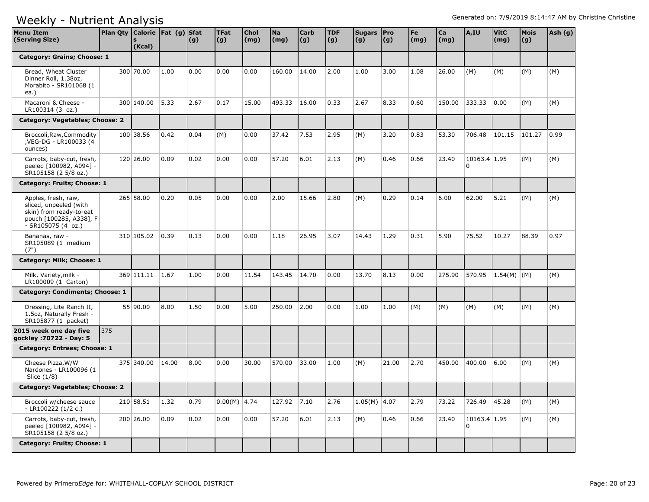| <b>Menu Item</b><br>(Serving Size)                                                                                        | Plan Qty   Calorie   Fat (g)   Sfat | (Kcal)          |       | (g)  | <b>TFat</b><br>(g) | <b>Chol</b><br>(mg) | <b>Na</b><br>(mg) | <b>Carb</b><br>(g) | <b>TDF</b><br>(g) | Sugars   Pro<br>(g) | (g)   | Fe<br>(mg) | Ca<br>(mq) | A,IU                     | <b>VitC</b><br>(mg) | <b>Mois</b><br>(g) | Ash (g) |
|---------------------------------------------------------------------------------------------------------------------------|-------------------------------------|-----------------|-------|------|--------------------|---------------------|-------------------|--------------------|-------------------|---------------------|-------|------------|------------|--------------------------|---------------------|--------------------|---------|
| Category: Grains; Choose: 1                                                                                               |                                     |                 |       |      |                    |                     |                   |                    |                   |                     |       |            |            |                          |                     |                    |         |
| Bread, Wheat Cluster<br>Dinner Roll, 1.38oz,<br>Morabito - SR101068 (1<br>ea.)                                            |                                     | 300 70.00       | 1.00  | 0.00 | 0.00               | 0.00                | 160.00            | 14.00              | 2.00              | 1.00                | 3.00  | 1.08       | 26.00      | (M)                      | (M)                 | (M)                | (M)     |
| Macaroni & Cheese -<br>LR100314 (3 oz.)                                                                                   |                                     | 300 140.00      | 5.33  | 2.67 | 0.17               | 15.00               | 493.33            | 16.00              | 0.33              | 2.67                | 8.33  | 0.60       | 150.00     | 333.33                   | 0.00                | (M)                | (M)     |
| Category: Vegetables; Choose: 2                                                                                           |                                     |                 |       |      |                    |                     |                   |                    |                   |                     |       |            |            |                          |                     |                    |         |
| Broccoli, Raw, Commodity<br>, VEG-DG - LR100033 (4<br>ounces)                                                             |                                     | 100 38.56       | 0.42  | 0.04 | (M)                | 0.00                | 37.42             | 7.53               | 2.95              | (M)                 | 3.20  | 0.83       | 53.30      | 706.48                   | 101.15              | 101.27             | 0.99    |
| Carrots, baby-cut, fresh,<br>peeled [100982, A094] -<br>SR105158 (2 5/8 oz.)                                              |                                     | 120 26.00       | 0.09  | 0.02 | 0.00               | 0.00                | 57.20             | 6.01               | 2.13              | (M)                 | 0.46  | 0.66       | 23.40      | 10163.4 1.95<br>$\Omega$ |                     | (M)                | (M)     |
| Category: Fruits; Choose: 1                                                                                               |                                     |                 |       |      |                    |                     |                   |                    |                   |                     |       |            |            |                          |                     |                    |         |
| Apples, fresh, raw,<br>sliced, unpeeled (with<br>skin) from ready-to-eat<br>pouch [100285, A338], F<br>$-SR105075(4 oz.)$ |                                     | 265 58.00       | 0.20  | 0.05 | 0.00               | 0.00                | 2.00              | 15.66              | 2.80              | (M)                 | 0.29  | 0.14       | 6.00       | 62.00                    | 5.21                | (M)                | (M)     |
| Bananas, raw -<br>SR105089 (1 medium<br>(7")                                                                              |                                     | 310 105.02      | 0.39  | 0.13 | 0.00               | 0.00                | 1.18              | 26.95              | 3.07              | 14.43               | 1.29  | 0.31       | 5.90       | 75.52                    | 10.27               | 88.39              | 0.97    |
| Category: Milk; Choose: 1                                                                                                 |                                     |                 |       |      |                    |                     |                   |                    |                   |                     |       |            |            |                          |                     |                    |         |
| Milk, Variety, milk -<br>LR100009 (1 Carton)                                                                              |                                     | 369 111.11 1.67 |       | 1.00 | 0.00               | 11.54               | 143.45            | 14.70              | 0.00              | 13.70               | 8.13  | 0.00       | 275.90     | 570.95                   | $1.54(M)$ (M)       |                    | (M)     |
| Category: Condiments; Choose: 1                                                                                           |                                     |                 |       |      |                    |                     |                   |                    |                   |                     |       |            |            |                          |                     |                    |         |
| Dressing, Lite Ranch II,<br>1.5oz, Naturally Fresh -<br>SR105877 (1 packet)                                               |                                     | 55 90.00        | 8.00  | 1.50 | 0.00               | 5.00                | 250.00            | 2.00               | 0.00              | 1.00                | 1.00  | (M)        | (M)        | (M)                      | (M)                 | (M)                | (M)     |
| 2015 week one day five<br>gockley: 70722 - Day: 5                                                                         | 375                                 |                 |       |      |                    |                     |                   |                    |                   |                     |       |            |            |                          |                     |                    |         |
| Category: Entrees; Choose: 1                                                                                              |                                     |                 |       |      |                    |                     |                   |                    |                   |                     |       |            |            |                          |                     |                    |         |
| Cheese Pizza, W/W<br>Nardones - LR100096 (1<br>Slice $(1/8)$                                                              |                                     | 375 340.00      | 14.00 | 8.00 | 0.00               | 30.00               | 570.00            | 33.00              | 1.00              | (M)                 | 21.00 | 2.70       | 450.00     | 400.00                   | 6.00                | (M)                | (M)     |
| Category: Vegetables; Choose: 2                                                                                           |                                     |                 |       |      |                    |                     |                   |                    |                   |                     |       |            |            |                          |                     |                    |         |
| Broccoli w/cheese sauce<br>- LR100222 (1/2 c.)                                                                            |                                     | 210 58.51       | 1.32  | 0.79 | $0.00(M)$ 4.74     |                     | 127.92            | 7.10               | 2.76              | $1.05(M)$ 4.07      |       | 2.79       | 73.22      | 726.49                   | 45.28               | (M)                | (M)     |
| Carrots, baby-cut, fresh,<br>peeled [100982, A094] -<br>SR105158 (2 5/8 oz.)                                              |                                     | 200 26.00       | 0.09  | 0.02 | 0.00               | 0.00                | 57.20             | 6.01               | 2.13              | (M)                 | 0.46  | 0.66       | 23.40      | 10163.4 1.95<br>n.       |                     | (M)                | (M)     |
| Category: Fruits; Choose: 1                                                                                               |                                     |                 |       |      |                    |                     |                   |                    |                   |                     |       |            |            |                          |                     |                    |         |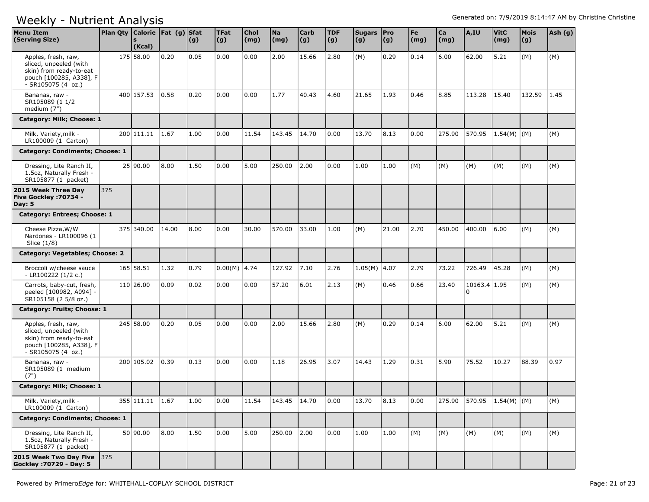| <b>Menu Item</b><br>(Serving Size)                                                                                        | Plan Qty Calorie   Fat (g) Sfat | (Kcal)          |       | (g)  | <b>TFat</b><br>(g) | <b>Chol</b><br>$\mathsf{(mg)}$ | <b>Na</b><br>(mg) | <b>Carb</b><br> (g) | <b>TDF</b><br>(g) | Sugars   Pro<br>(g) | (g)   | Fe<br>$\mathsf{(mg)}$ | Ca<br>(mg) | A,IU                           | <b>VitC</b><br>(mg) | Mois<br>(g) | Ash (g) |
|---------------------------------------------------------------------------------------------------------------------------|---------------------------------|-----------------|-------|------|--------------------|--------------------------------|-------------------|---------------------|-------------------|---------------------|-------|-----------------------|------------|--------------------------------|---------------------|-------------|---------|
| Apples, fresh, raw,<br>sliced, unpeeled (with<br>skin) from ready-to-eat<br>pouch [100285, A338], F<br>$-SR105075(4 oz.)$ |                                 | 175 58.00       | 0.20  | 0.05 | 0.00               | 0.00                           | 2.00              | 15.66               | 2.80              | (M)                 | 0.29  | 0.14                  | 6.00       | 62.00                          | 5.21                | (M)         | (M)     |
| Bananas, raw -<br>SR105089 (1 1/2<br>medium (7")                                                                          |                                 | 400 157.53      | 0.58  | 0.20 | 0.00               | 0.00                           | 1.77              | 40.43               | 4.60              | 21.65               | 1.93  | 0.46                  | 8.85       | 113.28                         | 15.40               | 132.59      | 1.45    |
| Category: Milk; Choose: 1                                                                                                 |                                 |                 |       |      |                    |                                |                   |                     |                   |                     |       |                       |            |                                |                     |             |         |
| Milk, Variety, milk -<br>LR100009 (1 Carton)                                                                              |                                 | 200 111.11 1.67 |       | 1.00 | 0.00               | 11.54                          | 143.45            | 14.70               | 0.00              | 13.70               | 8.13  | 0.00                  | 275.90     | 570.95                         | 1.54(M)   (M)       |             | (M)     |
| Category: Condiments; Choose: 1                                                                                           |                                 |                 |       |      |                    |                                |                   |                     |                   |                     |       |                       |            |                                |                     |             |         |
| Dressing, Lite Ranch II,<br>1.5oz, Naturally Fresh -<br>SR105877 (1 packet)                                               |                                 | 25 90.00        | 8.00  | 1.50 | 0.00               | 5.00                           | 250.00            | 2.00                | 0.00              | 1.00                | 1.00  | (M)                   | (M)        | (M)                            | (M)                 | (M)         | (M)     |
| 2015 Week Three Day<br>Five Gockley : 70734 -<br><b>Day: 5</b>                                                            | 375                             |                 |       |      |                    |                                |                   |                     |                   |                     |       |                       |            |                                |                     |             |         |
| Category: Entrees; Choose: 1                                                                                              |                                 |                 |       |      |                    |                                |                   |                     |                   |                     |       |                       |            |                                |                     |             |         |
| Cheese Pizza, W/W<br>Nardones - LR100096 (1<br>Slice (1/8)                                                                |                                 | 375 340.00      | 14.00 | 8.00 | 0.00               | 30.00                          | 570.00            | 33.00               | 1.00              | (M)                 | 21.00 | 2.70                  | 450.00     | 400.00                         | 6.00                | (M)         | (M)     |
| Category: Vegetables; Choose: 2                                                                                           |                                 |                 |       |      |                    |                                |                   |                     |                   |                     |       |                       |            |                                |                     |             |         |
| Broccoli w/cheese sauce<br>$-LR100222(1/2 c.)$                                                                            |                                 | 165 58.51       | 1.32  | 0.79 | $0.00(M)$ 4.74     |                                | 127.92            | 7.10                | 2.76              | $1.05(M)$ 4.07      |       | 2.79                  | 73.22      | 726.49                         | 45.28               | (M)         | (M)     |
| Carrots, baby-cut, fresh,<br>peeled [100982, A094] -<br>SR105158 (2 5/8 oz.)                                              |                                 | 110 26.00       | 0.09  | 0.02 | 0.00               | 0.00                           | 57.20             | 6.01                | 2.13              | (M)                 | 0.46  | 0.66                  | 23.40      | 10163.4 1.95<br>$\overline{0}$ |                     | (M)         | (M)     |
| Category: Fruits; Choose: 1                                                                                               |                                 |                 |       |      |                    |                                |                   |                     |                   |                     |       |                       |            |                                |                     |             |         |
| Apples, fresh, raw,<br>sliced, unpeeled (with<br>skin) from ready-to-eat<br>pouch [100285, A338], F<br>$-SR105075(4 oz.)$ |                                 | 245 58.00       | 0.20  | 0.05 | 0.00               | 0.00                           | 2.00              | 15.66               | 2.80              | (M)                 | 0.29  | 0.14                  | 6.00       | 62.00                          | 5.21                | (M)         | (M)     |
| Bananas, raw -<br>SR105089 (1 medium<br>(7")                                                                              |                                 | 200 105.02      | 0.39  | 0.13 | 0.00               | 0.00                           | 1.18              | 26.95               | 3.07              | 14.43               | 1.29  | 0.31                  | 5.90       | 75.52                          | 10.27               | 88.39       | 0.97    |
| Category: Milk; Choose: 1                                                                                                 |                                 |                 |       |      |                    |                                |                   |                     |                   |                     |       |                       |            |                                |                     |             |         |
| Milk, Variety, milk -<br>LR100009 (1 Carton)                                                                              |                                 | 355 111.11 1.67 |       | 1.00 | 0.00               | 11.54                          | 143.45   14.70    |                     | 0.00              | 13.70               | 8.13  | 0.00                  |            | 275.90 570.95 1.54(M) (M)      |                     |             | (M)     |
| <b>Category: Condiments; Choose: 1</b>                                                                                    |                                 |                 |       |      |                    |                                |                   |                     |                   |                     |       |                       |            |                                |                     |             |         |
| Dressing, Lite Ranch II,<br>1.5oz, Naturally Fresh -<br>SR105877 (1 packet)                                               |                                 | 50 90.00        | 8.00  | 1.50 | 0.00               | 5.00                           | 250.00            | 2.00                | 0.00              | 1.00                | 1.00  | (M)                   | (M)        | (M)                            | (M)                 | (M)         | (M)     |
| 2015 Week Two Day Five 375<br>Gockley : 70729 - Day: 5                                                                    |                                 |                 |       |      |                    |                                |                   |                     |                   |                     |       |                       |            |                                |                     |             |         |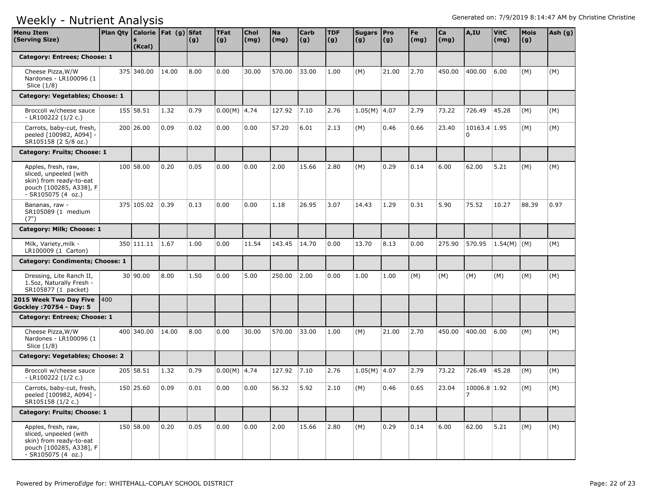| Menu Item<br>(Serving Size)                                                                                               | Plan Qty Calorie   Fat (g) Sfat | (Kcal)     |       | (g)  | <b>TFat</b><br>(g) | <b>Chol</b><br>(mg) | <b>Na</b><br>(mg) | <b>Carb</b><br>(g) | <b>TDF</b><br>(g) | Sugars   Pro<br>(g) | (g)   | Fe<br>(mg) | Ca<br>(mg) | A,IU                     | <b>VitC</b><br>(mg) | <b>Mois</b><br>(g) | Ash (g) |
|---------------------------------------------------------------------------------------------------------------------------|---------------------------------|------------|-------|------|--------------------|---------------------|-------------------|--------------------|-------------------|---------------------|-------|------------|------------|--------------------------|---------------------|--------------------|---------|
| Category: Entrees; Choose: 1                                                                                              |                                 |            |       |      |                    |                     |                   |                    |                   |                     |       |            |            |                          |                     |                    |         |
| Cheese Pizza, W/W<br>Nardones - LR100096 (1<br>Slice (1/8)                                                                |                                 | 375 340.00 | 14.00 | 8.00 | 0.00               | 30.00               | 570.00            | 33.00              | 1.00              | (M)                 | 21.00 | 2.70       | 450.00     | 400.00                   | 6.00                | (M)                | (M)     |
| Category: Vegetables; Choose: 1                                                                                           |                                 |            |       |      |                    |                     |                   |                    |                   |                     |       |            |            |                          |                     |                    |         |
| Broccoli w/cheese sauce<br>- LR100222 (1/2 c.)                                                                            |                                 | 155 58.51  | 1.32  | 0.79 | $0.00(M)$ 4.74     |                     | 127.92            | 7.10               | 2.76              | 1.05(M) 4.07        |       | 2.79       | 73.22      | 726.49                   | 45.28               | (M)                | (M)     |
| Carrots, baby-cut, fresh,<br>peeled [100982, A094] -<br>SR105158 (2 5/8 oz.)                                              |                                 | 200 26.00  | 0.09  | 0.02 | 0.00               | 0.00                | 57.20             | 6.01               | 2.13              | (M)                 | 0.46  | 0.66       | 23.40      | 10163.4 1.95<br>$\Omega$ |                     | (M)                | (M)     |
| Category: Fruits; Choose: 1                                                                                               |                                 |            |       |      |                    |                     |                   |                    |                   |                     |       |            |            |                          |                     |                    |         |
| Apples, fresh, raw,<br>sliced, unpeeled (with<br>skin) from ready-to-eat<br>pouch [100285, A338], F<br>- SR105075 (4 oz.) |                                 | 100 58.00  | 0.20  | 0.05 | 0.00               | 0.00                | 2.00              | 15.66              | 2.80              | (M)                 | 0.29  | 0.14       | 6.00       | 62.00                    | 5.21                | (M)                | (M)     |
| Bananas, raw -<br>SR105089 (1 medium<br>(7")                                                                              |                                 | 375 105.02 | 0.39  | 0.13 | 0.00               | 0.00                | 1.18              | 26.95              | 3.07              | 14.43               | 1.29  | 0.31       | 5.90       | 75.52                    | 10.27               | 88.39              | 0.97    |
| Category: Milk; Choose: 1                                                                                                 |                                 |            |       |      |                    |                     |                   |                    |                   |                     |       |            |            |                          |                     |                    |         |
| Milk, Variety, milk -<br>LR100009 (1 Carton)                                                                              |                                 | 350 111.11 | 1.67  | 1.00 | 0.00               | 11.54               | 143.45            | 14.70              | 0.00              | 13.70               | 8.13  | 0.00       | 275.90     | 570.95                   | $1.54(M)$ (M)       |                    | (M)     |
| Category: Condiments; Choose: 1                                                                                           |                                 |            |       |      |                    |                     |                   |                    |                   |                     |       |            |            |                          |                     |                    |         |
| Dressing, Lite Ranch II,<br>1.5oz, Naturally Fresh -<br>SR105877 (1 packet)                                               |                                 | 30 90.00   | 8.00  | 1.50 | 0.00               | 5.00                | 250.00            | 2.00               | 0.00              | 1.00                | 1.00  | (M)        | (M)        | (M)                      | (M)                 | (M)                | (M)     |
| 2015 Week Two Day Five<br>Gockley: 70754 - Day: 5                                                                         | 1400                            |            |       |      |                    |                     |                   |                    |                   |                     |       |            |            |                          |                     |                    |         |
| Category: Entrees; Choose: 1                                                                                              |                                 |            |       |      |                    |                     |                   |                    |                   |                     |       |            |            |                          |                     |                    |         |
| Cheese Pizza, W/W<br>Nardones - LR100096 (1<br>Slice $(1/8)$                                                              |                                 | 400 340.00 | 14.00 | 8.00 | 0.00               | 30.00               | 570.00            | 33.00              | 1.00              | (M)                 | 21.00 | 2.70       | 450.00     | 400.00                   | 6.00                | (M)                | (M)     |
| Category: Vegetables; Choose: 2                                                                                           |                                 |            |       |      |                    |                     |                   |                    |                   |                     |       |            |            |                          |                     |                    |         |
| Broccoli w/cheese sauce<br>- LR100222 $(1/2 c.)$                                                                          |                                 | 205 58.51  | 1.32  | 0.79 | $0.00(M)$ 4.74     |                     | 127.92            | 7.10               | 2.76              | $1.05(M)$ 4.07      |       | 2.79       | 73.22      | 726.49                   | 45.28               | (M)                | (M)     |
| Carrots, baby-cut, fresh,<br>peeled [100982, A094] -<br>SR105158 (1/2 c.)                                                 |                                 | 150 25.60  | 0.09  | 0.01 | 0.00               | 0.00                | 56.32             | 5.92               | 2.10              | (M)                 | 0.46  | 0.65       | 23.04      | 10006.8 1.92<br>17       |                     | (M)                | (M)     |
| Category: Fruits; Choose: 1                                                                                               |                                 |            |       |      |                    |                     |                   |                    |                   |                     |       |            |            |                          |                     |                    |         |
| Apples, fresh, raw,<br>sliced, unpeeled (with<br>skin) from ready-to-eat<br>pouch [100285, A338], F<br>$-SR105075(4 oz.)$ |                                 | 150 58.00  | 0.20  | 0.05 | 0.00               | 0.00                | 2.00              | 15.66              | 2.80              | (M)                 | 0.29  | 0.14       | 6.00       | 62.00                    | 5.21                | (M)                | (M)     |